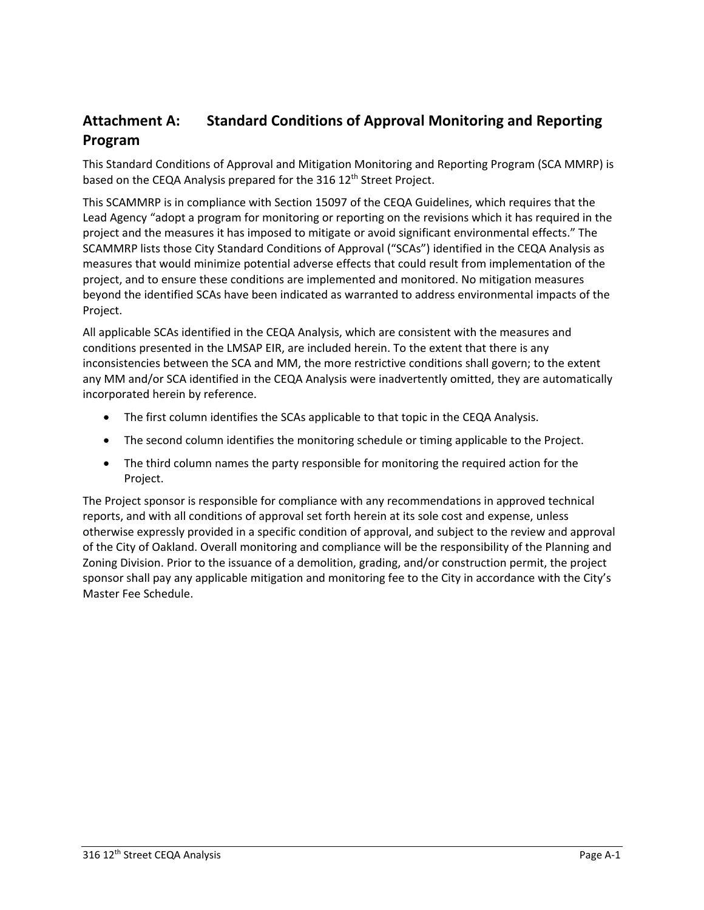## **Attachment A: Standard Conditions of Approval Monitoring and Reporting Program**

This Standard Conditions of Approval and Mitigation Monitoring and Reporting Program (SCA MMRP) is based on the CEQA Analysis prepared for the 316 12<sup>th</sup> Street Project.

This SCAMMRP is in compliance with Section 15097 of the CEQA Guidelines, which requires that the Lead Agency "adopt a program for monitoring or reporting on the revisions which it has required in the project and the measures it has imposed to mitigate or avoid significant environmental effects." The SCAMMRP lists those City Standard Conditions of Approval ("SCAs") identified in the CEQA Analysis as measures that would minimize potential adverse effects that could result from implementation of the project, and to ensure these conditions are implemented and monitored. No mitigation measures beyond the identified SCAs have been indicated as warranted to address environmental impacts of the Project.

All applicable SCAs identified in the CEQA Analysis, which are consistent with the measures and conditions presented in the LMSAP EIR, are included herein. To the extent that there is any inconsistencies between the SCA and MM, the more restrictive conditions shall govern; to the extent any MM and/or SCA identified in the CEQA Analysis were inadvertently omitted, they are automatically incorporated herein by reference.

- The first column identifies the SCAs applicable to that topic in the CEQA Analysis.
- The second column identifies the monitoring schedule or timing applicable to the Project.
- The third column names the party responsible for monitoring the required action for the Project.

The Project sponsor is responsible for compliance with any recommendations in approved technical reports, and with all conditions of approval set forth herein at its sole cost and expense, unless otherwise expressly provided in a specific condition of approval, and subject to the review and approval of the City of Oakland. Overall monitoring and compliance will be the responsibility of the Planning and Zoning Division. Prior to the issuance of a demolition, grading, and/or construction permit, the project sponsor shall pay any applicable mitigation and monitoring fee to the City in accordance with the City's Master Fee Schedule.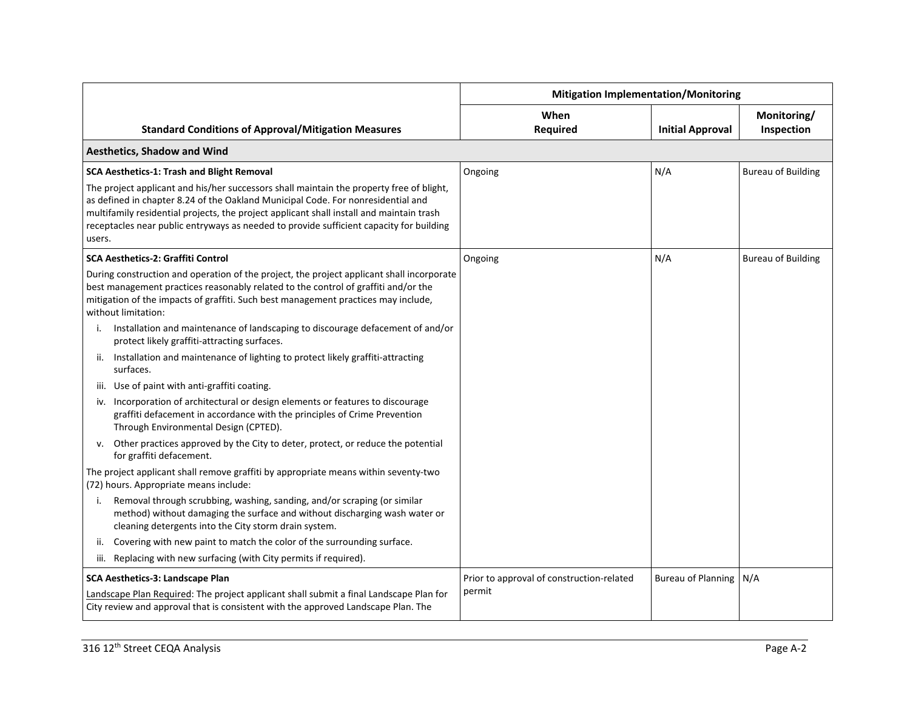|                                                                                                                                                                                                                                                                                                                                                                               | <b>Mitigation Implementation/Monitoring</b> |                           |                           |
|-------------------------------------------------------------------------------------------------------------------------------------------------------------------------------------------------------------------------------------------------------------------------------------------------------------------------------------------------------------------------------|---------------------------------------------|---------------------------|---------------------------|
| <b>Standard Conditions of Approval/Mitigation Measures</b>                                                                                                                                                                                                                                                                                                                    | When<br><b>Required</b>                     | <b>Initial Approval</b>   | Monitoring/<br>Inspection |
| <b>Aesthetics, Shadow and Wind</b>                                                                                                                                                                                                                                                                                                                                            |                                             |                           |                           |
| SCA Aesthetics-1: Trash and Blight Removal                                                                                                                                                                                                                                                                                                                                    | Ongoing                                     | N/A                       | <b>Bureau of Building</b> |
| The project applicant and his/her successors shall maintain the property free of blight,<br>as defined in chapter 8.24 of the Oakland Municipal Code. For nonresidential and<br>multifamily residential projects, the project applicant shall install and maintain trash<br>receptacles near public entryways as needed to provide sufficient capacity for building<br>users. |                                             |                           |                           |
| <b>SCA Aesthetics-2: Graffiti Control</b>                                                                                                                                                                                                                                                                                                                                     | Ongoing                                     | N/A                       | <b>Bureau of Building</b> |
| During construction and operation of the project, the project applicant shall incorporate<br>best management practices reasonably related to the control of graffiti and/or the<br>mitigation of the impacts of graffiti. Such best management practices may include,<br>without limitation:                                                                                  |                                             |                           |                           |
| Installation and maintenance of landscaping to discourage defacement of and/or<br>protect likely graffiti-attracting surfaces.                                                                                                                                                                                                                                                |                                             |                           |                           |
| ii. Installation and maintenance of lighting to protect likely graffiti-attracting<br>surfaces.                                                                                                                                                                                                                                                                               |                                             |                           |                           |
| iii. Use of paint with anti-graffiti coating.                                                                                                                                                                                                                                                                                                                                 |                                             |                           |                           |
| iv. Incorporation of architectural or design elements or features to discourage<br>graffiti defacement in accordance with the principles of Crime Prevention<br>Through Environmental Design (CPTED).                                                                                                                                                                         |                                             |                           |                           |
| v. Other practices approved by the City to deter, protect, or reduce the potential<br>for graffiti defacement.                                                                                                                                                                                                                                                                |                                             |                           |                           |
| The project applicant shall remove graffiti by appropriate means within seventy-two<br>(72) hours. Appropriate means include:                                                                                                                                                                                                                                                 |                                             |                           |                           |
| Removal through scrubbing, washing, sanding, and/or scraping (or similar<br>i.<br>method) without damaging the surface and without discharging wash water or<br>cleaning detergents into the City storm drain system.                                                                                                                                                         |                                             |                           |                           |
| Covering with new paint to match the color of the surrounding surface.<br>ii.                                                                                                                                                                                                                                                                                                 |                                             |                           |                           |
| iii. Replacing with new surfacing (with City permits if required).                                                                                                                                                                                                                                                                                                            |                                             |                           |                           |
| SCA Aesthetics-3: Landscape Plan                                                                                                                                                                                                                                                                                                                                              | Prior to approval of construction-related   | <b>Bureau of Planning</b> | N/A                       |
| Landscape Plan Required: The project applicant shall submit a final Landscape Plan for<br>City review and approval that is consistent with the approved Landscape Plan. The                                                                                                                                                                                                   | permit                                      |                           |                           |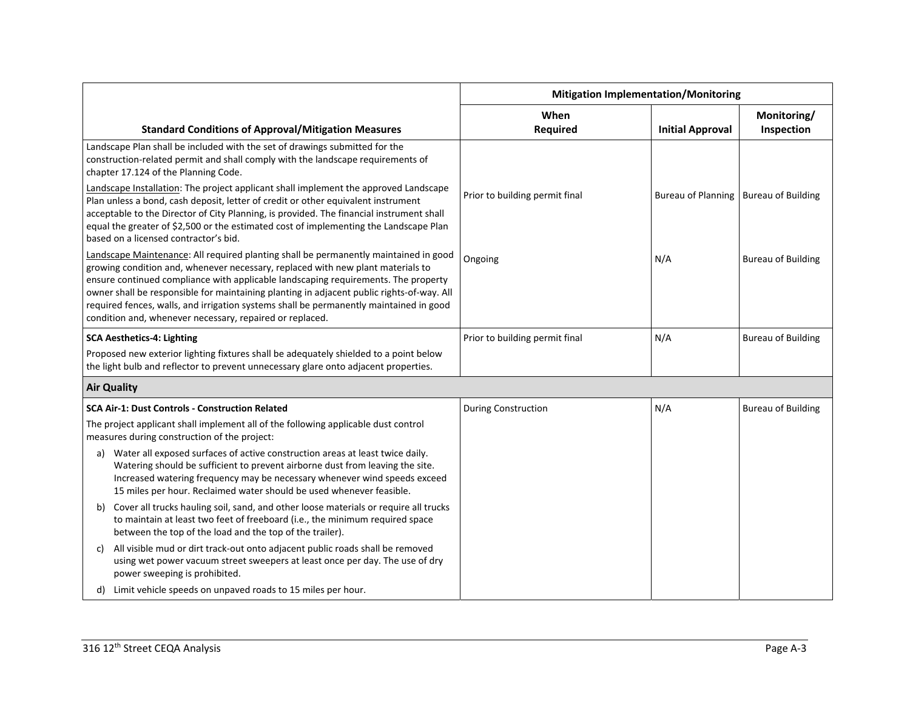|                                                                                                                                                                                                                                                                                                                                                                                                                                                                                                                  | <b>Mitigation Implementation/Monitoring</b> |                                         |                           |
|------------------------------------------------------------------------------------------------------------------------------------------------------------------------------------------------------------------------------------------------------------------------------------------------------------------------------------------------------------------------------------------------------------------------------------------------------------------------------------------------------------------|---------------------------------------------|-----------------------------------------|---------------------------|
| <b>Standard Conditions of Approval/Mitigation Measures</b>                                                                                                                                                                                                                                                                                                                                                                                                                                                       | When<br><b>Required</b>                     | <b>Initial Approval</b>                 | Monitoring/<br>Inspection |
| Landscape Plan shall be included with the set of drawings submitted for the<br>construction-related permit and shall comply with the landscape requirements of<br>chapter 17.124 of the Planning Code.                                                                                                                                                                                                                                                                                                           |                                             |                                         |                           |
| Landscape Installation: The project applicant shall implement the approved Landscape<br>Plan unless a bond, cash deposit, letter of credit or other equivalent instrument<br>acceptable to the Director of City Planning, is provided. The financial instrument shall<br>equal the greater of \$2,500 or the estimated cost of implementing the Landscape Plan<br>based on a licensed contractor's bid.                                                                                                          | Prior to building permit final              | Bureau of Planning   Bureau of Building |                           |
| Landscape Maintenance: All required planting shall be permanently maintained in good<br>growing condition and, whenever necessary, replaced with new plant materials to<br>ensure continued compliance with applicable landscaping requirements. The property<br>owner shall be responsible for maintaining planting in adjacent public rights-of-way. All<br>required fences, walls, and irrigation systems shall be permanently maintained in good<br>condition and, whenever necessary, repaired or replaced. | Ongoing                                     | N/A                                     | <b>Bureau of Building</b> |
| <b>SCA Aesthetics-4: Lighting</b>                                                                                                                                                                                                                                                                                                                                                                                                                                                                                | Prior to building permit final              | N/A                                     | <b>Bureau of Building</b> |
| Proposed new exterior lighting fixtures shall be adequately shielded to a point below<br>the light bulb and reflector to prevent unnecessary glare onto adjacent properties.                                                                                                                                                                                                                                                                                                                                     |                                             |                                         |                           |
| <b>Air Quality</b>                                                                                                                                                                                                                                                                                                                                                                                                                                                                                               |                                             |                                         |                           |
| <b>SCA Air-1: Dust Controls - Construction Related</b>                                                                                                                                                                                                                                                                                                                                                                                                                                                           | <b>During Construction</b>                  | N/A                                     | <b>Bureau of Building</b> |
| The project applicant shall implement all of the following applicable dust control<br>measures during construction of the project:                                                                                                                                                                                                                                                                                                                                                                               |                                             |                                         |                           |
| Water all exposed surfaces of active construction areas at least twice daily.<br>a)<br>Watering should be sufficient to prevent airborne dust from leaving the site.<br>Increased watering frequency may be necessary whenever wind speeds exceed<br>15 miles per hour. Reclaimed water should be used whenever feasible.                                                                                                                                                                                        |                                             |                                         |                           |
| Cover all trucks hauling soil, sand, and other loose materials or require all trucks<br>b)<br>to maintain at least two feet of freeboard (i.e., the minimum required space<br>between the top of the load and the top of the trailer).                                                                                                                                                                                                                                                                           |                                             |                                         |                           |
| All visible mud or dirt track-out onto adjacent public roads shall be removed<br>C)<br>using wet power vacuum street sweepers at least once per day. The use of dry<br>power sweeping is prohibited.                                                                                                                                                                                                                                                                                                             |                                             |                                         |                           |
| d) Limit vehicle speeds on unpaved roads to 15 miles per hour.                                                                                                                                                                                                                                                                                                                                                                                                                                                   |                                             |                                         |                           |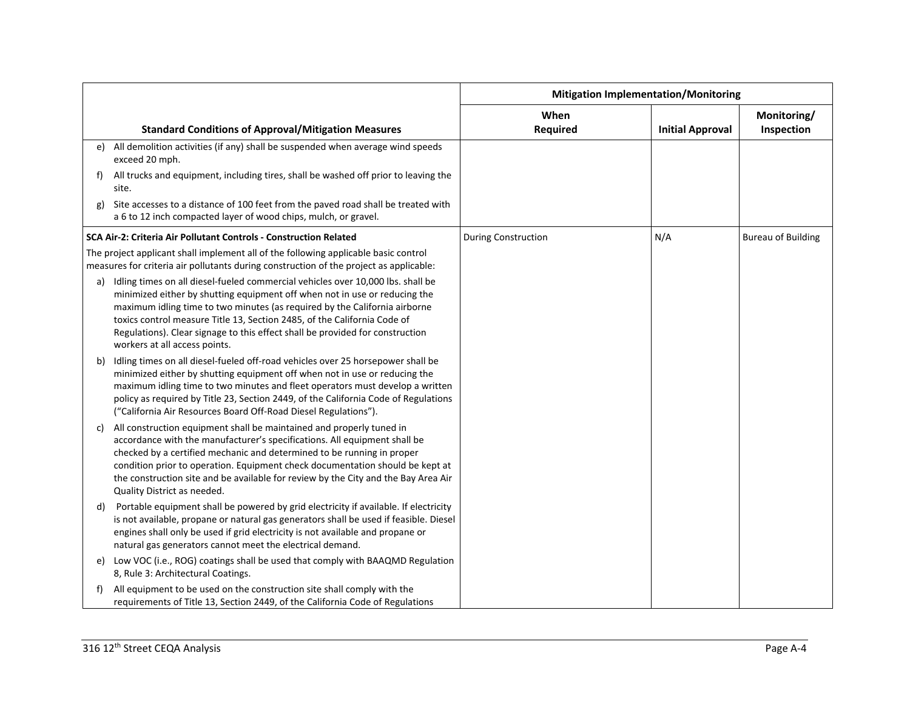|    |                                                                                                                                                                                                                                                                                                                                                                                                                                           | <b>Mitigation Implementation/Monitoring</b> |                         |                           |
|----|-------------------------------------------------------------------------------------------------------------------------------------------------------------------------------------------------------------------------------------------------------------------------------------------------------------------------------------------------------------------------------------------------------------------------------------------|---------------------------------------------|-------------------------|---------------------------|
|    | <b>Standard Conditions of Approval/Mitigation Measures</b>                                                                                                                                                                                                                                                                                                                                                                                | When<br><b>Required</b>                     | <b>Initial Approval</b> | Monitoring/<br>Inspection |
| e) | All demolition activities (if any) shall be suspended when average wind speeds<br>exceed 20 mph.                                                                                                                                                                                                                                                                                                                                          |                                             |                         |                           |
| f) | All trucks and equipment, including tires, shall be washed off prior to leaving the<br>site.                                                                                                                                                                                                                                                                                                                                              |                                             |                         |                           |
| g) | Site accesses to a distance of 100 feet from the paved road shall be treated with<br>a 6 to 12 inch compacted layer of wood chips, mulch, or gravel.                                                                                                                                                                                                                                                                                      |                                             |                         |                           |
|    | SCA Air-2: Criteria Air Pollutant Controls - Construction Related                                                                                                                                                                                                                                                                                                                                                                         | <b>During Construction</b>                  | N/A                     | <b>Bureau of Building</b> |
|    | The project applicant shall implement all of the following applicable basic control<br>measures for criteria air pollutants during construction of the project as applicable:                                                                                                                                                                                                                                                             |                                             |                         |                           |
| a) | Idling times on all diesel-fueled commercial vehicles over 10,000 lbs. shall be<br>minimized either by shutting equipment off when not in use or reducing the<br>maximum idling time to two minutes (as required by the California airborne<br>toxics control measure Title 13, Section 2485, of the California Code of<br>Regulations). Clear signage to this effect shall be provided for construction<br>workers at all access points. |                                             |                         |                           |
| b) | Idling times on all diesel-fueled off-road vehicles over 25 horsepower shall be<br>minimized either by shutting equipment off when not in use or reducing the<br>maximum idling time to two minutes and fleet operators must develop a written<br>policy as required by Title 23, Section 2449, of the California Code of Regulations<br>("California Air Resources Board Off-Road Diesel Regulations").                                  |                                             |                         |                           |
| C) | All construction equipment shall be maintained and properly tuned in<br>accordance with the manufacturer's specifications. All equipment shall be<br>checked by a certified mechanic and determined to be running in proper<br>condition prior to operation. Equipment check documentation should be kept at<br>the construction site and be available for review by the City and the Bay Area Air<br>Quality District as needed.         |                                             |                         |                           |
| d) | Portable equipment shall be powered by grid electricity if available. If electricity<br>is not available, propane or natural gas generators shall be used if feasible. Diesel<br>engines shall only be used if grid electricity is not available and propane or<br>natural gas generators cannot meet the electrical demand.                                                                                                              |                                             |                         |                           |
|    | e) Low VOC (i.e., ROG) coatings shall be used that comply with BAAQMD Regulation<br>8, Rule 3: Architectural Coatings.                                                                                                                                                                                                                                                                                                                    |                                             |                         |                           |
| f) | All equipment to be used on the construction site shall comply with the<br>requirements of Title 13, Section 2449, of the California Code of Regulations                                                                                                                                                                                                                                                                                  |                                             |                         |                           |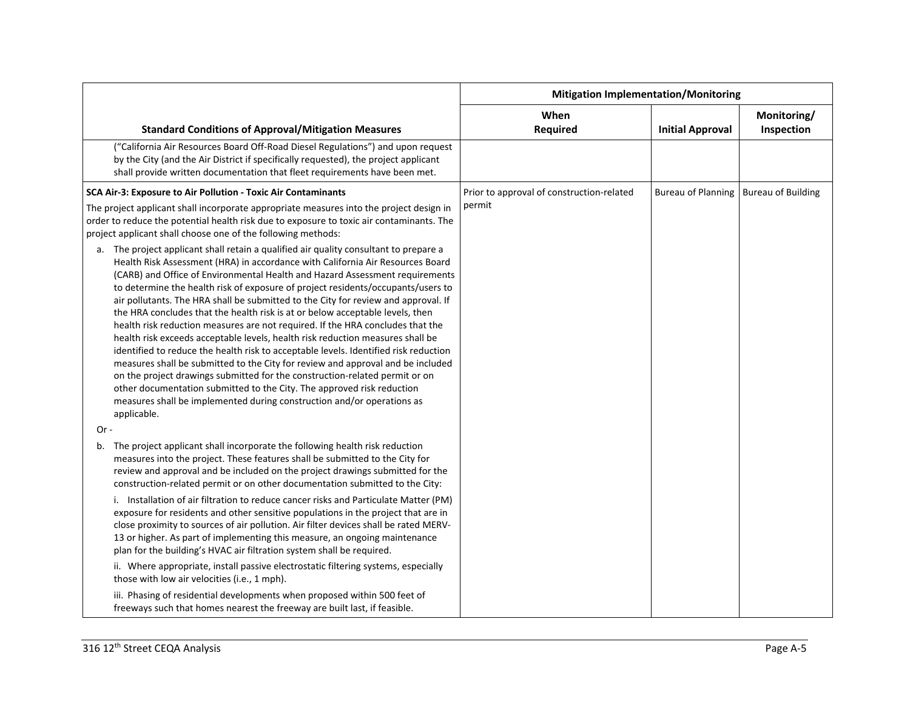|                                                                                                                                                                                                                                                                                                                                                                                                                                                                                                                                                                                                                                                                                                                                                                                                                                                                                                                                                                                                                                                                                                                     | <b>Mitigation Implementation/Monitoring</b> |                           |                           |
|---------------------------------------------------------------------------------------------------------------------------------------------------------------------------------------------------------------------------------------------------------------------------------------------------------------------------------------------------------------------------------------------------------------------------------------------------------------------------------------------------------------------------------------------------------------------------------------------------------------------------------------------------------------------------------------------------------------------------------------------------------------------------------------------------------------------------------------------------------------------------------------------------------------------------------------------------------------------------------------------------------------------------------------------------------------------------------------------------------------------|---------------------------------------------|---------------------------|---------------------------|
| <b>Standard Conditions of Approval/Mitigation Measures</b>                                                                                                                                                                                                                                                                                                                                                                                                                                                                                                                                                                                                                                                                                                                                                                                                                                                                                                                                                                                                                                                          | When<br>Required                            | <b>Initial Approval</b>   | Monitoring/<br>Inspection |
| ("California Air Resources Board Off-Road Diesel Regulations") and upon request<br>by the City (and the Air District if specifically requested), the project applicant<br>shall provide written documentation that fleet requirements have been met.                                                                                                                                                                                                                                                                                                                                                                                                                                                                                                                                                                                                                                                                                                                                                                                                                                                                |                                             |                           |                           |
| SCA Air-3: Exposure to Air Pollution - Toxic Air Contaminants                                                                                                                                                                                                                                                                                                                                                                                                                                                                                                                                                                                                                                                                                                                                                                                                                                                                                                                                                                                                                                                       | Prior to approval of construction-related   | <b>Bureau of Planning</b> | <b>Bureau of Building</b> |
| The project applicant shall incorporate appropriate measures into the project design in<br>order to reduce the potential health risk due to exposure to toxic air contaminants. The<br>project applicant shall choose one of the following methods:                                                                                                                                                                                                                                                                                                                                                                                                                                                                                                                                                                                                                                                                                                                                                                                                                                                                 | permit                                      |                           |                           |
| a. The project applicant shall retain a qualified air quality consultant to prepare a<br>Health Risk Assessment (HRA) in accordance with California Air Resources Board<br>(CARB) and Office of Environmental Health and Hazard Assessment requirements<br>to determine the health risk of exposure of project residents/occupants/users to<br>air pollutants. The HRA shall be submitted to the City for review and approval. If<br>the HRA concludes that the health risk is at or below acceptable levels, then<br>health risk reduction measures are not required. If the HRA concludes that the<br>health risk exceeds acceptable levels, health risk reduction measures shall be<br>identified to reduce the health risk to acceptable levels. Identified risk reduction<br>measures shall be submitted to the City for review and approval and be included<br>on the project drawings submitted for the construction-related permit or on<br>other documentation submitted to the City. The approved risk reduction<br>measures shall be implemented during construction and/or operations as<br>applicable. |                                             |                           |                           |
| $Or -$                                                                                                                                                                                                                                                                                                                                                                                                                                                                                                                                                                                                                                                                                                                                                                                                                                                                                                                                                                                                                                                                                                              |                                             |                           |                           |
| b. The project applicant shall incorporate the following health risk reduction<br>measures into the project. These features shall be submitted to the City for<br>review and approval and be included on the project drawings submitted for the<br>construction-related permit or on other documentation submitted to the City:                                                                                                                                                                                                                                                                                                                                                                                                                                                                                                                                                                                                                                                                                                                                                                                     |                                             |                           |                           |
| i. Installation of air filtration to reduce cancer risks and Particulate Matter (PM)<br>exposure for residents and other sensitive populations in the project that are in<br>close proximity to sources of air pollution. Air filter devices shall be rated MERV-<br>13 or higher. As part of implementing this measure, an ongoing maintenance<br>plan for the building's HVAC air filtration system shall be required.                                                                                                                                                                                                                                                                                                                                                                                                                                                                                                                                                                                                                                                                                            |                                             |                           |                           |
| ii. Where appropriate, install passive electrostatic filtering systems, especially<br>those with low air velocities (i.e., 1 mph).                                                                                                                                                                                                                                                                                                                                                                                                                                                                                                                                                                                                                                                                                                                                                                                                                                                                                                                                                                                  |                                             |                           |                           |
| iii. Phasing of residential developments when proposed within 500 feet of<br>freeways such that homes nearest the freeway are built last, if feasible.                                                                                                                                                                                                                                                                                                                                                                                                                                                                                                                                                                                                                                                                                                                                                                                                                                                                                                                                                              |                                             |                           |                           |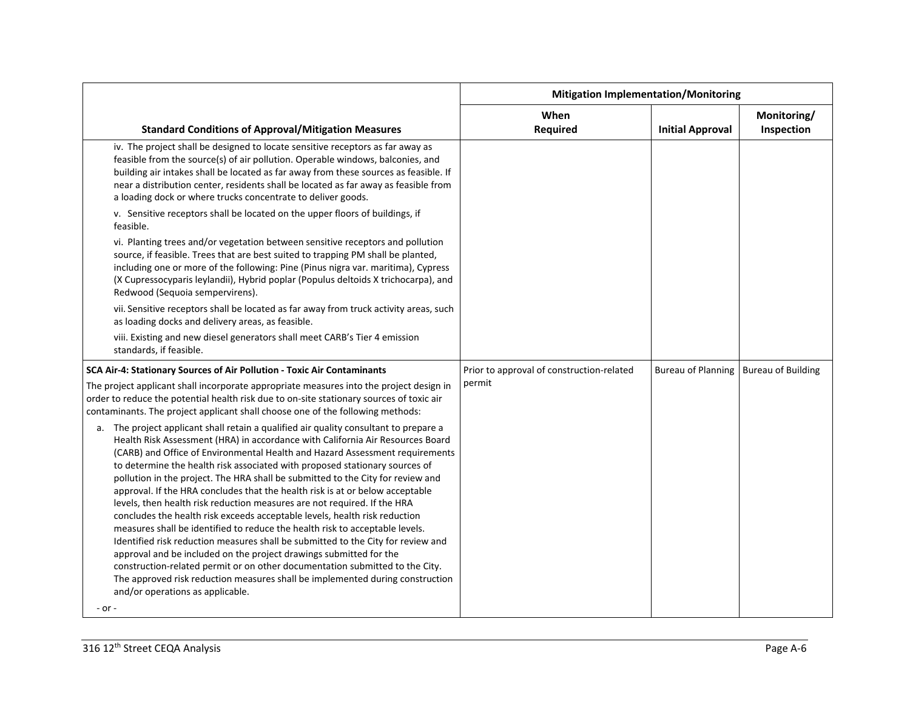|                                                                                                                                                                                                                                                                                                                                                                                                                                                                                                                                                                                                                                                                                                                                                                                                                                                                                                                                                                                                                                                                                                                               | <b>Mitigation Implementation/Monitoring</b> |                           |                           |
|-------------------------------------------------------------------------------------------------------------------------------------------------------------------------------------------------------------------------------------------------------------------------------------------------------------------------------------------------------------------------------------------------------------------------------------------------------------------------------------------------------------------------------------------------------------------------------------------------------------------------------------------------------------------------------------------------------------------------------------------------------------------------------------------------------------------------------------------------------------------------------------------------------------------------------------------------------------------------------------------------------------------------------------------------------------------------------------------------------------------------------|---------------------------------------------|---------------------------|---------------------------|
| <b>Standard Conditions of Approval/Mitigation Measures</b>                                                                                                                                                                                                                                                                                                                                                                                                                                                                                                                                                                                                                                                                                                                                                                                                                                                                                                                                                                                                                                                                    | When<br>Required                            | <b>Initial Approval</b>   | Monitoring/<br>Inspection |
| iv. The project shall be designed to locate sensitive receptors as far away as<br>feasible from the source(s) of air pollution. Operable windows, balconies, and<br>building air intakes shall be located as far away from these sources as feasible. If<br>near a distribution center, residents shall be located as far away as feasible from<br>a loading dock or where trucks concentrate to deliver goods.                                                                                                                                                                                                                                                                                                                                                                                                                                                                                                                                                                                                                                                                                                               |                                             |                           |                           |
| v. Sensitive receptors shall be located on the upper floors of buildings, if<br>feasible.                                                                                                                                                                                                                                                                                                                                                                                                                                                                                                                                                                                                                                                                                                                                                                                                                                                                                                                                                                                                                                     |                                             |                           |                           |
| vi. Planting trees and/or vegetation between sensitive receptors and pollution<br>source, if feasible. Trees that are best suited to trapping PM shall be planted,<br>including one or more of the following: Pine (Pinus nigra var. maritima), Cypress<br>(X Cupressocyparis leylandii), Hybrid poplar (Populus deltoids X trichocarpa), and<br>Redwood (Sequoia sempervirens).                                                                                                                                                                                                                                                                                                                                                                                                                                                                                                                                                                                                                                                                                                                                              |                                             |                           |                           |
| vii. Sensitive receptors shall be located as far away from truck activity areas, such<br>as loading docks and delivery areas, as feasible.                                                                                                                                                                                                                                                                                                                                                                                                                                                                                                                                                                                                                                                                                                                                                                                                                                                                                                                                                                                    |                                             |                           |                           |
| viii. Existing and new diesel generators shall meet CARB's Tier 4 emission<br>standards, if feasible.                                                                                                                                                                                                                                                                                                                                                                                                                                                                                                                                                                                                                                                                                                                                                                                                                                                                                                                                                                                                                         |                                             |                           |                           |
| SCA Air-4: Stationary Sources of Air Pollution - Toxic Air Contaminants                                                                                                                                                                                                                                                                                                                                                                                                                                                                                                                                                                                                                                                                                                                                                                                                                                                                                                                                                                                                                                                       | Prior to approval of construction-related   | <b>Bureau of Planning</b> | <b>Bureau of Building</b> |
| The project applicant shall incorporate appropriate measures into the project design in<br>order to reduce the potential health risk due to on-site stationary sources of toxic air<br>contaminants. The project applicant shall choose one of the following methods:                                                                                                                                                                                                                                                                                                                                                                                                                                                                                                                                                                                                                                                                                                                                                                                                                                                         | permit                                      |                           |                           |
| a. The project applicant shall retain a qualified air quality consultant to prepare a<br>Health Risk Assessment (HRA) in accordance with California Air Resources Board<br>(CARB) and Office of Environmental Health and Hazard Assessment requirements<br>to determine the health risk associated with proposed stationary sources of<br>pollution in the project. The HRA shall be submitted to the City for review and<br>approval. If the HRA concludes that the health risk is at or below acceptable<br>levels, then health risk reduction measures are not required. If the HRA<br>concludes the health risk exceeds acceptable levels, health risk reduction<br>measures shall be identified to reduce the health risk to acceptable levels.<br>Identified risk reduction measures shall be submitted to the City for review and<br>approval and be included on the project drawings submitted for the<br>construction-related permit or on other documentation submitted to the City.<br>The approved risk reduction measures shall be implemented during construction<br>and/or operations as applicable.<br>- or - |                                             |                           |                           |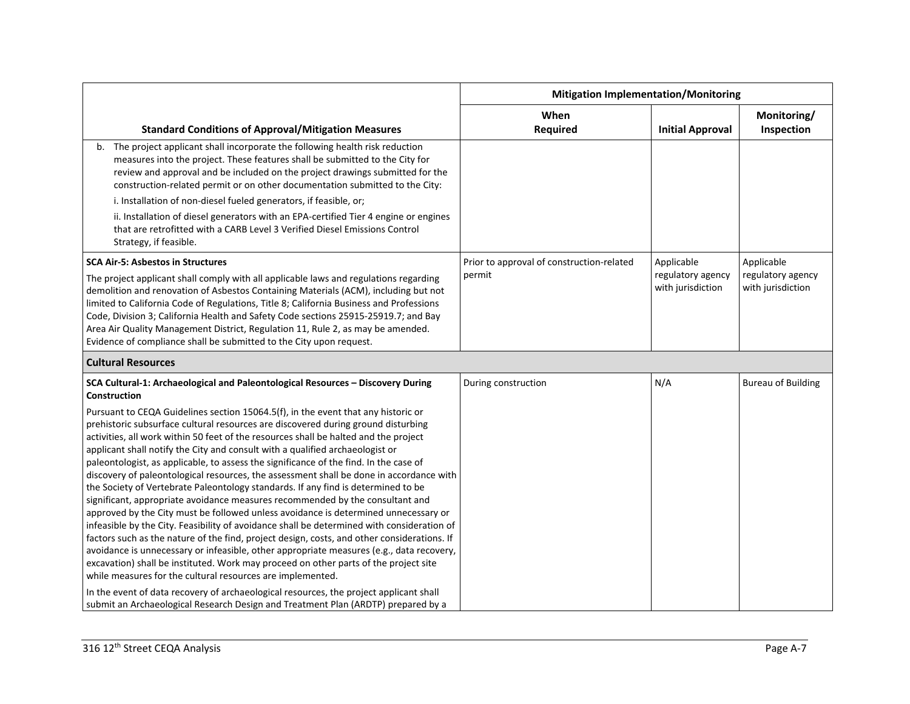|                                                                                                                                                                                                                                                                                                                                                                                                                                                                                                                                                                                                                                                                                                                                                                                                                                                                                                                                                                                                                                                                                                                                                                                                                                                                                                                                                                                                                                | <b>Mitigation Implementation/Monitoring</b> |                                        |                                        |
|--------------------------------------------------------------------------------------------------------------------------------------------------------------------------------------------------------------------------------------------------------------------------------------------------------------------------------------------------------------------------------------------------------------------------------------------------------------------------------------------------------------------------------------------------------------------------------------------------------------------------------------------------------------------------------------------------------------------------------------------------------------------------------------------------------------------------------------------------------------------------------------------------------------------------------------------------------------------------------------------------------------------------------------------------------------------------------------------------------------------------------------------------------------------------------------------------------------------------------------------------------------------------------------------------------------------------------------------------------------------------------------------------------------------------------|---------------------------------------------|----------------------------------------|----------------------------------------|
| <b>Standard Conditions of Approval/Mitigation Measures</b>                                                                                                                                                                                                                                                                                                                                                                                                                                                                                                                                                                                                                                                                                                                                                                                                                                                                                                                                                                                                                                                                                                                                                                                                                                                                                                                                                                     | When<br><b>Required</b>                     | <b>Initial Approval</b>                | Monitoring/<br>Inspection              |
| b. The project applicant shall incorporate the following health risk reduction<br>measures into the project. These features shall be submitted to the City for<br>review and approval and be included on the project drawings submitted for the<br>construction-related permit or on other documentation submitted to the City:                                                                                                                                                                                                                                                                                                                                                                                                                                                                                                                                                                                                                                                                                                                                                                                                                                                                                                                                                                                                                                                                                                |                                             |                                        |                                        |
| i. Installation of non-diesel fueled generators, if feasible, or;                                                                                                                                                                                                                                                                                                                                                                                                                                                                                                                                                                                                                                                                                                                                                                                                                                                                                                                                                                                                                                                                                                                                                                                                                                                                                                                                                              |                                             |                                        |                                        |
| ii. Installation of diesel generators with an EPA-certified Tier 4 engine or engines<br>that are retrofitted with a CARB Level 3 Verified Diesel Emissions Control<br>Strategy, if feasible.                                                                                                                                                                                                                                                                                                                                                                                                                                                                                                                                                                                                                                                                                                                                                                                                                                                                                                                                                                                                                                                                                                                                                                                                                                   |                                             |                                        |                                        |
| <b>SCA Air-5: Asbestos in Structures</b>                                                                                                                                                                                                                                                                                                                                                                                                                                                                                                                                                                                                                                                                                                                                                                                                                                                                                                                                                                                                                                                                                                                                                                                                                                                                                                                                                                                       | Prior to approval of construction-related   | Applicable                             | Applicable                             |
| The project applicant shall comply with all applicable laws and regulations regarding<br>demolition and renovation of Asbestos Containing Materials (ACM), including but not<br>limited to California Code of Regulations, Title 8; California Business and Professions<br>Code, Division 3; California Health and Safety Code sections 25915-25919.7; and Bay<br>Area Air Quality Management District, Regulation 11, Rule 2, as may be amended.<br>Evidence of compliance shall be submitted to the City upon request.                                                                                                                                                                                                                                                                                                                                                                                                                                                                                                                                                                                                                                                                                                                                                                                                                                                                                                       | permit                                      | regulatory agency<br>with jurisdiction | regulatory agency<br>with jurisdiction |
| <b>Cultural Resources</b>                                                                                                                                                                                                                                                                                                                                                                                                                                                                                                                                                                                                                                                                                                                                                                                                                                                                                                                                                                                                                                                                                                                                                                                                                                                                                                                                                                                                      |                                             |                                        |                                        |
| SCA Cultural-1: Archaeological and Paleontological Resources - Discovery During<br>Construction                                                                                                                                                                                                                                                                                                                                                                                                                                                                                                                                                                                                                                                                                                                                                                                                                                                                                                                                                                                                                                                                                                                                                                                                                                                                                                                                | During construction                         | N/A                                    | <b>Bureau of Building</b>              |
| Pursuant to CEQA Guidelines section 15064.5(f), in the event that any historic or<br>prehistoric subsurface cultural resources are discovered during ground disturbing<br>activities, all work within 50 feet of the resources shall be halted and the project<br>applicant shall notify the City and consult with a qualified archaeologist or<br>paleontologist, as applicable, to assess the significance of the find. In the case of<br>discovery of paleontological resources, the assessment shall be done in accordance with<br>the Society of Vertebrate Paleontology standards. If any find is determined to be<br>significant, appropriate avoidance measures recommended by the consultant and<br>approved by the City must be followed unless avoidance is determined unnecessary or<br>infeasible by the City. Feasibility of avoidance shall be determined with consideration of<br>factors such as the nature of the find, project design, costs, and other considerations. If<br>avoidance is unnecessary or infeasible, other appropriate measures (e.g., data recovery,<br>excavation) shall be instituted. Work may proceed on other parts of the project site<br>while measures for the cultural resources are implemented.<br>In the event of data recovery of archaeological resources, the project applicant shall<br>submit an Archaeological Research Design and Treatment Plan (ARDTP) prepared by a |                                             |                                        |                                        |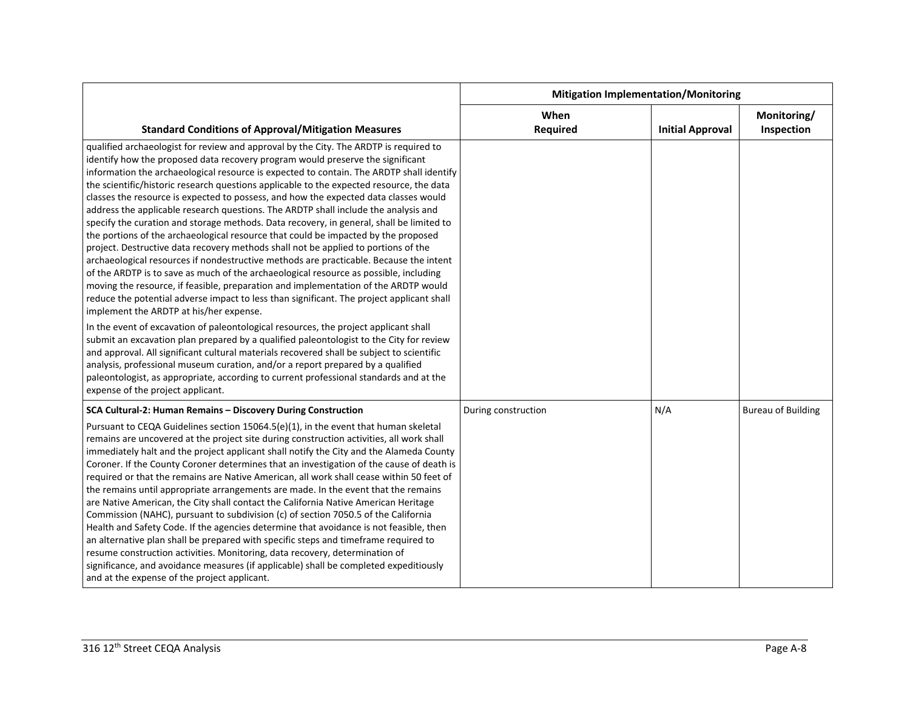|                                                                                                                                                                                                                                                                                                                                                                                                                                                                                                                                                                                                                                                                                                                                                                                                                                                                                                                                                                                                                                                                                                                                                                                                                                          | <b>Mitigation Implementation/Monitoring</b> |                         |                           |
|------------------------------------------------------------------------------------------------------------------------------------------------------------------------------------------------------------------------------------------------------------------------------------------------------------------------------------------------------------------------------------------------------------------------------------------------------------------------------------------------------------------------------------------------------------------------------------------------------------------------------------------------------------------------------------------------------------------------------------------------------------------------------------------------------------------------------------------------------------------------------------------------------------------------------------------------------------------------------------------------------------------------------------------------------------------------------------------------------------------------------------------------------------------------------------------------------------------------------------------|---------------------------------------------|-------------------------|---------------------------|
| <b>Standard Conditions of Approval/Mitigation Measures</b>                                                                                                                                                                                                                                                                                                                                                                                                                                                                                                                                                                                                                                                                                                                                                                                                                                                                                                                                                                                                                                                                                                                                                                               | When<br><b>Required</b>                     | <b>Initial Approval</b> | Monitoring/<br>Inspection |
| qualified archaeologist for review and approval by the City. The ARDTP is required to<br>identify how the proposed data recovery program would preserve the significant<br>information the archaeological resource is expected to contain. The ARDTP shall identify<br>the scientific/historic research questions applicable to the expected resource, the data<br>classes the resource is expected to possess, and how the expected data classes would<br>address the applicable research questions. The ARDTP shall include the analysis and<br>specify the curation and storage methods. Data recovery, in general, shall be limited to<br>the portions of the archaeological resource that could be impacted by the proposed<br>project. Destructive data recovery methods shall not be applied to portions of the<br>archaeological resources if nondestructive methods are practicable. Because the intent<br>of the ARDTP is to save as much of the archaeological resource as possible, including<br>moving the resource, if feasible, preparation and implementation of the ARDTP would<br>reduce the potential adverse impact to less than significant. The project applicant shall<br>implement the ARDTP at his/her expense. |                                             |                         |                           |
| In the event of excavation of paleontological resources, the project applicant shall<br>submit an excavation plan prepared by a qualified paleontologist to the City for review<br>and approval. All significant cultural materials recovered shall be subject to scientific<br>analysis, professional museum curation, and/or a report prepared by a qualified<br>paleontologist, as appropriate, according to current professional standards and at the<br>expense of the project applicant.                                                                                                                                                                                                                                                                                                                                                                                                                                                                                                                                                                                                                                                                                                                                           |                                             |                         |                           |
| SCA Cultural-2: Human Remains - Discovery During Construction<br>Pursuant to CEQA Guidelines section 15064.5(e)(1), in the event that human skeletal<br>remains are uncovered at the project site during construction activities, all work shall<br>immediately halt and the project applicant shall notify the City and the Alameda County<br>Coroner. If the County Coroner determines that an investigation of the cause of death is<br>required or that the remains are Native American, all work shall cease within 50 feet of<br>the remains until appropriate arrangements are made. In the event that the remains<br>are Native American, the City shall contact the California Native American Heritage<br>Commission (NAHC), pursuant to subdivision (c) of section 7050.5 of the California<br>Health and Safety Code. If the agencies determine that avoidance is not feasible, then<br>an alternative plan shall be prepared with specific steps and timeframe required to<br>resume construction activities. Monitoring, data recovery, determination of<br>significance, and avoidance measures (if applicable) shall be completed expeditiously<br>and at the expense of the project applicant.                          | During construction                         | N/A                     | <b>Bureau of Building</b> |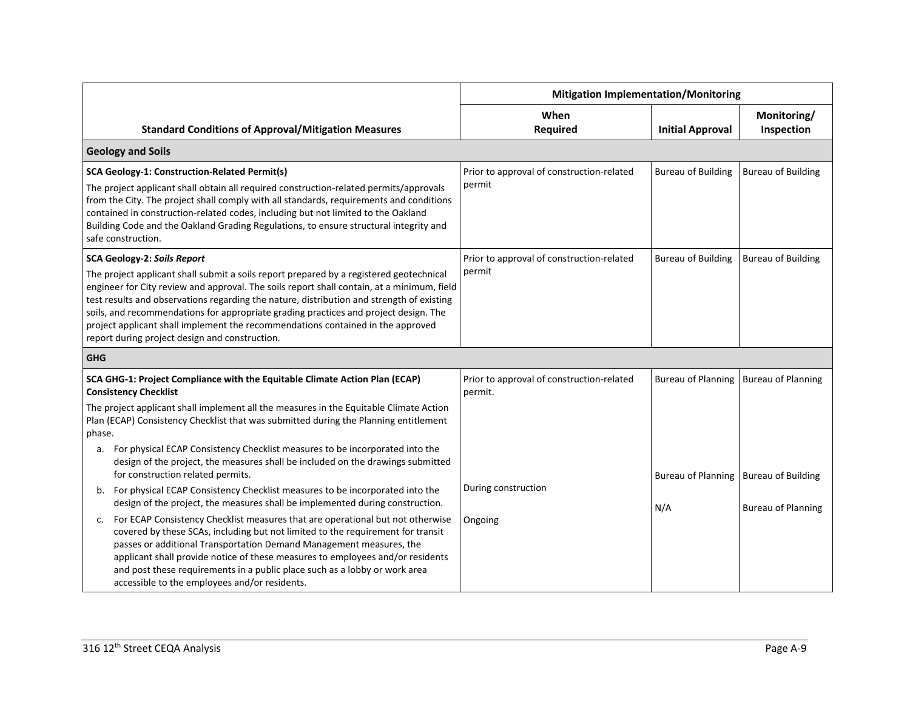|                    |                                                                                                                                                                                                                                                                                                                                                                                                                                                                                                                                                       | <b>Mitigation Implementation/Monitoring</b>          |                                         |                           |
|--------------------|-------------------------------------------------------------------------------------------------------------------------------------------------------------------------------------------------------------------------------------------------------------------------------------------------------------------------------------------------------------------------------------------------------------------------------------------------------------------------------------------------------------------------------------------------------|------------------------------------------------------|-----------------------------------------|---------------------------|
|                    | <b>Standard Conditions of Approval/Mitigation Measures</b>                                                                                                                                                                                                                                                                                                                                                                                                                                                                                            | When<br><b>Required</b>                              | <b>Initial Approval</b>                 | Monitoring/<br>Inspection |
|                    | <b>Geology and Soils</b>                                                                                                                                                                                                                                                                                                                                                                                                                                                                                                                              |                                                      |                                         |                           |
| safe construction. | SCA Geology-1: Construction-Related Permit(s)<br>The project applicant shall obtain all required construction-related permits/approvals<br>from the City. The project shall comply with all standards, requirements and conditions<br>contained in construction-related codes, including but not limited to the Oakland<br>Building Code and the Oakland Grading Regulations, to ensure structural integrity and                                                                                                                                      | Prior to approval of construction-related<br>permit  | <b>Bureau of Building</b>               | <b>Bureau of Building</b> |
|                    | <b>SCA Geology-2: Soils Report</b><br>The project applicant shall submit a soils report prepared by a registered geotechnical<br>engineer for City review and approval. The soils report shall contain, at a minimum, field<br>test results and observations regarding the nature, distribution and strength of existing<br>soils, and recommendations for appropriate grading practices and project design. The<br>project applicant shall implement the recommendations contained in the approved<br>report during project design and construction. | Prior to approval of construction-related<br>permit  | <b>Bureau of Building</b>               | <b>Bureau of Building</b> |
| <b>GHG</b>         |                                                                                                                                                                                                                                                                                                                                                                                                                                                                                                                                                       |                                                      |                                         |                           |
|                    | SCA GHG-1: Project Compliance with the Equitable Climate Action Plan (ECAP)<br><b>Consistency Checklist</b>                                                                                                                                                                                                                                                                                                                                                                                                                                           | Prior to approval of construction-related<br>permit. | Bureau of Planning                      | <b>Bureau of Planning</b> |
| phase.             | The project applicant shall implement all the measures in the Equitable Climate Action<br>Plan (ECAP) Consistency Checklist that was submitted during the Planning entitlement                                                                                                                                                                                                                                                                                                                                                                        |                                                      |                                         |                           |
| а.                 | For physical ECAP Consistency Checklist measures to be incorporated into the<br>design of the project, the measures shall be included on the drawings submitted<br>for construction related permits.                                                                                                                                                                                                                                                                                                                                                  |                                                      | Bureau of Planning   Bureau of Building |                           |
| b.                 | For physical ECAP Consistency Checklist measures to be incorporated into the<br>design of the project, the measures shall be implemented during construction.                                                                                                                                                                                                                                                                                                                                                                                         | During construction                                  | N/A                                     | <b>Bureau of Planning</b> |
| c.                 | For ECAP Consistency Checklist measures that are operational but not otherwise<br>covered by these SCAs, including but not limited to the requirement for transit<br>passes or additional Transportation Demand Management measures, the<br>applicant shall provide notice of these measures to employees and/or residents<br>and post these requirements in a public place such as a lobby or work area<br>accessible to the employees and/or residents.                                                                                             | Ongoing                                              |                                         |                           |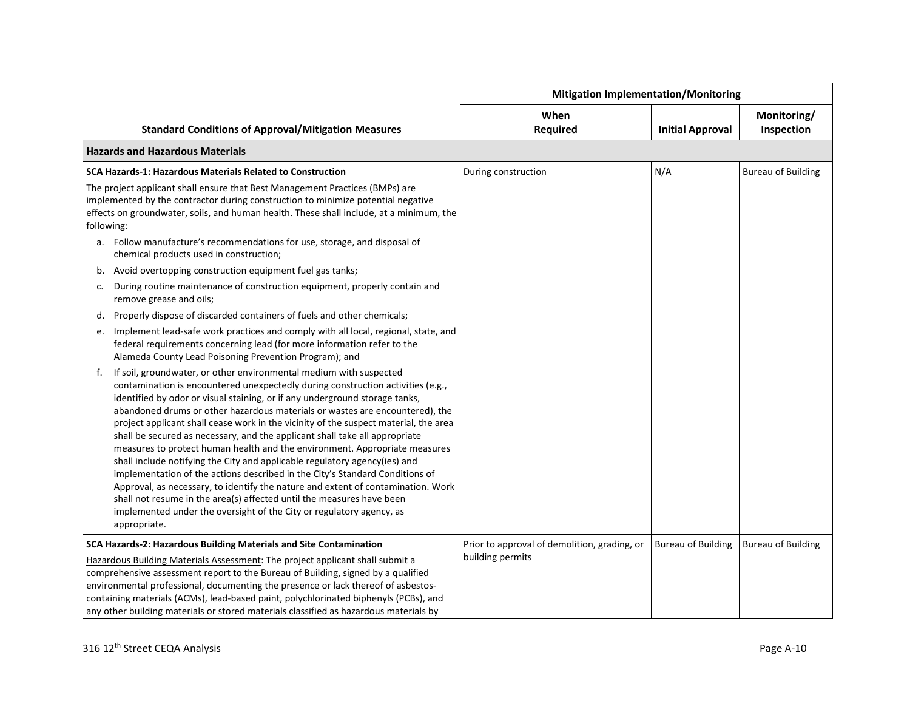|            |                                                                                                                                                                                                                                                                                                                                                                                                                                                                                                                                                                                                                                                                                                                                                                                                                                                                                                                                                                                              | <b>Mitigation Implementation/Monitoring</b>                      |                           |                           |
|------------|----------------------------------------------------------------------------------------------------------------------------------------------------------------------------------------------------------------------------------------------------------------------------------------------------------------------------------------------------------------------------------------------------------------------------------------------------------------------------------------------------------------------------------------------------------------------------------------------------------------------------------------------------------------------------------------------------------------------------------------------------------------------------------------------------------------------------------------------------------------------------------------------------------------------------------------------------------------------------------------------|------------------------------------------------------------------|---------------------------|---------------------------|
|            | <b>Standard Conditions of Approval/Mitigation Measures</b>                                                                                                                                                                                                                                                                                                                                                                                                                                                                                                                                                                                                                                                                                                                                                                                                                                                                                                                                   | When<br><b>Required</b>                                          | <b>Initial Approval</b>   | Monitoring/<br>Inspection |
|            | <b>Hazards and Hazardous Materials</b>                                                                                                                                                                                                                                                                                                                                                                                                                                                                                                                                                                                                                                                                                                                                                                                                                                                                                                                                                       |                                                                  |                           |                           |
|            | <b>SCA Hazards-1: Hazardous Materials Related to Construction</b>                                                                                                                                                                                                                                                                                                                                                                                                                                                                                                                                                                                                                                                                                                                                                                                                                                                                                                                            | During construction                                              | N/A                       | <b>Bureau of Building</b> |
| following: | The project applicant shall ensure that Best Management Practices (BMPs) are<br>implemented by the contractor during construction to minimize potential negative<br>effects on groundwater, soils, and human health. These shall include, at a minimum, the                                                                                                                                                                                                                                                                                                                                                                                                                                                                                                                                                                                                                                                                                                                                  |                                                                  |                           |                           |
|            | a. Follow manufacture's recommendations for use, storage, and disposal of<br>chemical products used in construction;                                                                                                                                                                                                                                                                                                                                                                                                                                                                                                                                                                                                                                                                                                                                                                                                                                                                         |                                                                  |                           |                           |
|            | b. Avoid overtopping construction equipment fuel gas tanks;                                                                                                                                                                                                                                                                                                                                                                                                                                                                                                                                                                                                                                                                                                                                                                                                                                                                                                                                  |                                                                  |                           |                           |
| c.         | During routine maintenance of construction equipment, properly contain and<br>remove grease and oils;                                                                                                                                                                                                                                                                                                                                                                                                                                                                                                                                                                                                                                                                                                                                                                                                                                                                                        |                                                                  |                           |                           |
|            | d. Properly dispose of discarded containers of fuels and other chemicals;                                                                                                                                                                                                                                                                                                                                                                                                                                                                                                                                                                                                                                                                                                                                                                                                                                                                                                                    |                                                                  |                           |                           |
| e.         | Implement lead-safe work practices and comply with all local, regional, state, and<br>federal requirements concerning lead (for more information refer to the<br>Alameda County Lead Poisoning Prevention Program); and                                                                                                                                                                                                                                                                                                                                                                                                                                                                                                                                                                                                                                                                                                                                                                      |                                                                  |                           |                           |
| f.         | If soil, groundwater, or other environmental medium with suspected<br>contamination is encountered unexpectedly during construction activities (e.g.,<br>identified by odor or visual staining, or if any underground storage tanks,<br>abandoned drums or other hazardous materials or wastes are encountered), the<br>project applicant shall cease work in the vicinity of the suspect material, the area<br>shall be secured as necessary, and the applicant shall take all appropriate<br>measures to protect human health and the environment. Appropriate measures<br>shall include notifying the City and applicable regulatory agency(ies) and<br>implementation of the actions described in the City's Standard Conditions of<br>Approval, as necessary, to identify the nature and extent of contamination. Work<br>shall not resume in the area(s) affected until the measures have been<br>implemented under the oversight of the City or regulatory agency, as<br>appropriate. |                                                                  |                           |                           |
|            | SCA Hazards-2: Hazardous Building Materials and Site Contamination<br>Hazardous Building Materials Assessment: The project applicant shall submit a<br>comprehensive assessment report to the Bureau of Building, signed by a qualified<br>environmental professional, documenting the presence or lack thereof of asbestos-<br>containing materials (ACMs), lead-based paint, polychlorinated biphenyls (PCBs), and<br>any other building materials or stored materials classified as hazardous materials by                                                                                                                                                                                                                                                                                                                                                                                                                                                                                | Prior to approval of demolition, grading, or<br>building permits | <b>Bureau of Building</b> | <b>Bureau of Building</b> |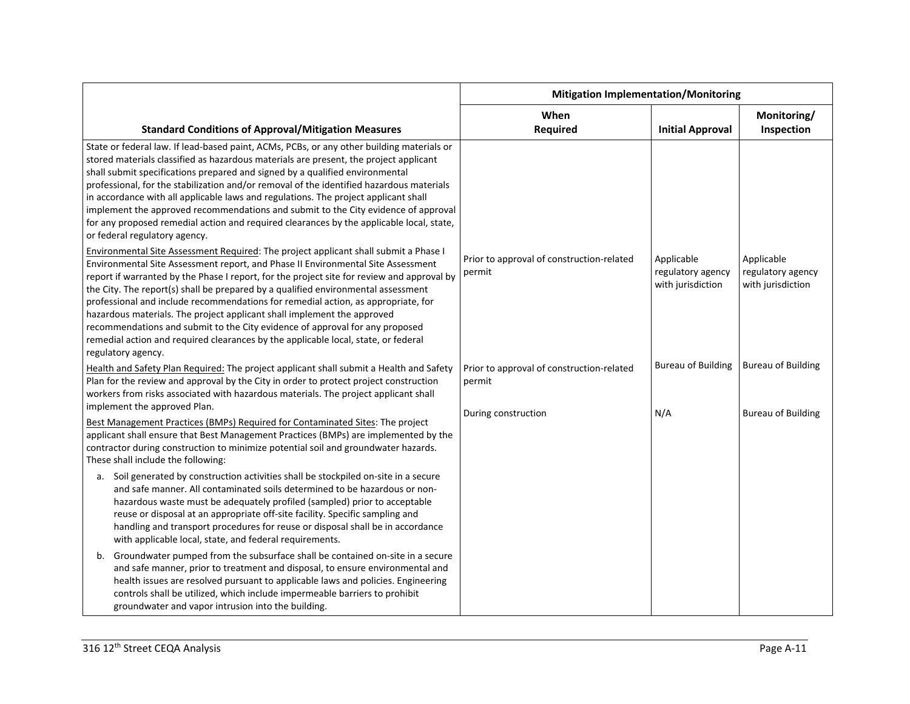|                                                                                                                                                                                                                                                                                                                                                                                                                                                                                                                                                                                                                                                                                                                         | <b>Mitigation Implementation/Monitoring</b>         |                                                      |                                                      |
|-------------------------------------------------------------------------------------------------------------------------------------------------------------------------------------------------------------------------------------------------------------------------------------------------------------------------------------------------------------------------------------------------------------------------------------------------------------------------------------------------------------------------------------------------------------------------------------------------------------------------------------------------------------------------------------------------------------------------|-----------------------------------------------------|------------------------------------------------------|------------------------------------------------------|
| <b>Standard Conditions of Approval/Mitigation Measures</b>                                                                                                                                                                                                                                                                                                                                                                                                                                                                                                                                                                                                                                                              | When<br>Required                                    | <b>Initial Approval</b>                              | Monitoring/<br>Inspection                            |
| State or federal law. If lead-based paint, ACMs, PCBs, or any other building materials or<br>stored materials classified as hazardous materials are present, the project applicant<br>shall submit specifications prepared and signed by a qualified environmental<br>professional, for the stabilization and/or removal of the identified hazardous materials<br>in accordance with all applicable laws and regulations. The project applicant shall<br>implement the approved recommendations and submit to the City evidence of approval<br>for any proposed remedial action and required clearances by the applicable local, state,<br>or federal regulatory agency.                                                |                                                     |                                                      |                                                      |
| Environmental Site Assessment Required: The project applicant shall submit a Phase I<br>Environmental Site Assessment report, and Phase II Environmental Site Assessment<br>report if warranted by the Phase I report, for the project site for review and approval by<br>the City. The report(s) shall be prepared by a qualified environmental assessment<br>professional and include recommendations for remedial action, as appropriate, for<br>hazardous materials. The project applicant shall implement the approved<br>recommendations and submit to the City evidence of approval for any proposed<br>remedial action and required clearances by the applicable local, state, or federal<br>regulatory agency. | Prior to approval of construction-related<br>permit | Applicable<br>regulatory agency<br>with jurisdiction | Applicable<br>regulatory agency<br>with jurisdiction |
| Health and Safety Plan Required: The project applicant shall submit a Health and Safety<br>Plan for the review and approval by the City in order to protect project construction<br>workers from risks associated with hazardous materials. The project applicant shall<br>implement the approved Plan.                                                                                                                                                                                                                                                                                                                                                                                                                 | Prior to approval of construction-related<br>permit | <b>Bureau of Building</b>                            | <b>Bureau of Building</b>                            |
| Best Management Practices (BMPs) Required for Contaminated Sites: The project<br>applicant shall ensure that Best Management Practices (BMPs) are implemented by the<br>contractor during construction to minimize potential soil and groundwater hazards.<br>These shall include the following:                                                                                                                                                                                                                                                                                                                                                                                                                        | During construction                                 | N/A                                                  | <b>Bureau of Building</b>                            |
| a. Soil generated by construction activities shall be stockpiled on-site in a secure<br>and safe manner. All contaminated soils determined to be hazardous or non-<br>hazardous waste must be adequately profiled (sampled) prior to acceptable<br>reuse or disposal at an appropriate off-site facility. Specific sampling and<br>handling and transport procedures for reuse or disposal shall be in accordance<br>with applicable local, state, and federal requirements.                                                                                                                                                                                                                                            |                                                     |                                                      |                                                      |
| Groundwater pumped from the subsurface shall be contained on-site in a secure<br>b.<br>and safe manner, prior to treatment and disposal, to ensure environmental and<br>health issues are resolved pursuant to applicable laws and policies. Engineering<br>controls shall be utilized, which include impermeable barriers to prohibit<br>groundwater and vapor intrusion into the building.                                                                                                                                                                                                                                                                                                                            |                                                     |                                                      |                                                      |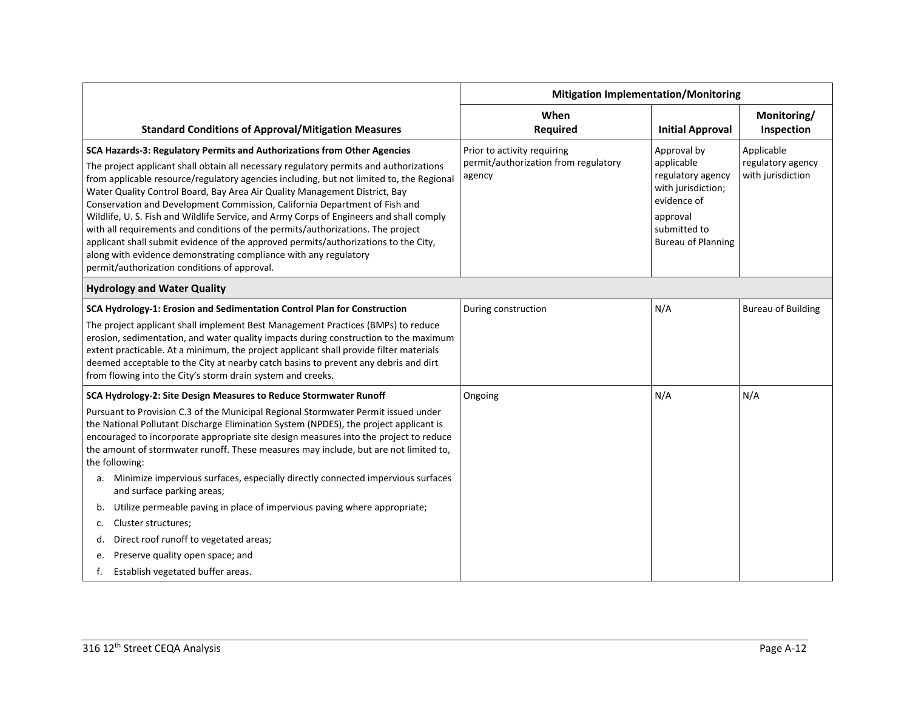|                                                                                                                                                                                                                                                                                                                                                                                                                                                                                                                                                                                                                                                                                                                                                                                                                     | <b>Mitigation Implementation/Monitoring</b>                                   |                                                                                                                                              |                                                      |
|---------------------------------------------------------------------------------------------------------------------------------------------------------------------------------------------------------------------------------------------------------------------------------------------------------------------------------------------------------------------------------------------------------------------------------------------------------------------------------------------------------------------------------------------------------------------------------------------------------------------------------------------------------------------------------------------------------------------------------------------------------------------------------------------------------------------|-------------------------------------------------------------------------------|----------------------------------------------------------------------------------------------------------------------------------------------|------------------------------------------------------|
| <b>Standard Conditions of Approval/Mitigation Measures</b>                                                                                                                                                                                                                                                                                                                                                                                                                                                                                                                                                                                                                                                                                                                                                          | When<br>Required                                                              | <b>Initial Approval</b>                                                                                                                      | Monitoring/<br>Inspection                            |
| SCA Hazards-3: Regulatory Permits and Authorizations from Other Agencies<br>The project applicant shall obtain all necessary regulatory permits and authorizations<br>from applicable resource/regulatory agencies including, but not limited to, the Regional<br>Water Quality Control Board, Bay Area Air Quality Management District, Bay<br>Conservation and Development Commission, California Department of Fish and<br>Wildlife, U. S. Fish and Wildlife Service, and Army Corps of Engineers and shall comply<br>with all requirements and conditions of the permits/authorizations. The project<br>applicant shall submit evidence of the approved permits/authorizations to the City,<br>along with evidence demonstrating compliance with any regulatory<br>permit/authorization conditions of approval. | Prior to activity requiring<br>permit/authorization from regulatory<br>agency | Approval by<br>applicable<br>regulatory agency<br>with jurisdiction;<br>evidence of<br>approval<br>submitted to<br><b>Bureau of Planning</b> | Applicable<br>regulatory agency<br>with jurisdiction |
| <b>Hydrology and Water Quality</b>                                                                                                                                                                                                                                                                                                                                                                                                                                                                                                                                                                                                                                                                                                                                                                                  |                                                                               |                                                                                                                                              |                                                      |
| SCA Hydrology-1: Erosion and Sedimentation Control Plan for Construction<br>The project applicant shall implement Best Management Practices (BMPs) to reduce<br>erosion, sedimentation, and water quality impacts during construction to the maximum<br>extent practicable. At a minimum, the project applicant shall provide filter materials<br>deemed acceptable to the City at nearby catch basins to prevent any debris and dirt<br>from flowing into the City's storm drain system and creeks.                                                                                                                                                                                                                                                                                                                | During construction                                                           | N/A                                                                                                                                          | <b>Bureau of Building</b>                            |
| SCA Hydrology-2: Site Design Measures to Reduce Stormwater Runoff<br>Pursuant to Provision C.3 of the Municipal Regional Stormwater Permit issued under<br>the National Pollutant Discharge Elimination System (NPDES), the project applicant is<br>encouraged to incorporate appropriate site design measures into the project to reduce<br>the amount of stormwater runoff. These measures may include, but are not limited to,<br>the following:<br>Minimize impervious surfaces, especially directly connected impervious surfaces<br>a.                                                                                                                                                                                                                                                                        | Ongoing                                                                       | N/A                                                                                                                                          | N/A                                                  |
| and surface parking areas;<br>Utilize permeable paving in place of impervious paving where appropriate;<br>b.<br>Cluster structures;<br>c.<br>Direct roof runoff to vegetated areas;<br>d.<br>Preserve quality open space; and<br>e.<br>Establish vegetated buffer areas.                                                                                                                                                                                                                                                                                                                                                                                                                                                                                                                                           |                                                                               |                                                                                                                                              |                                                      |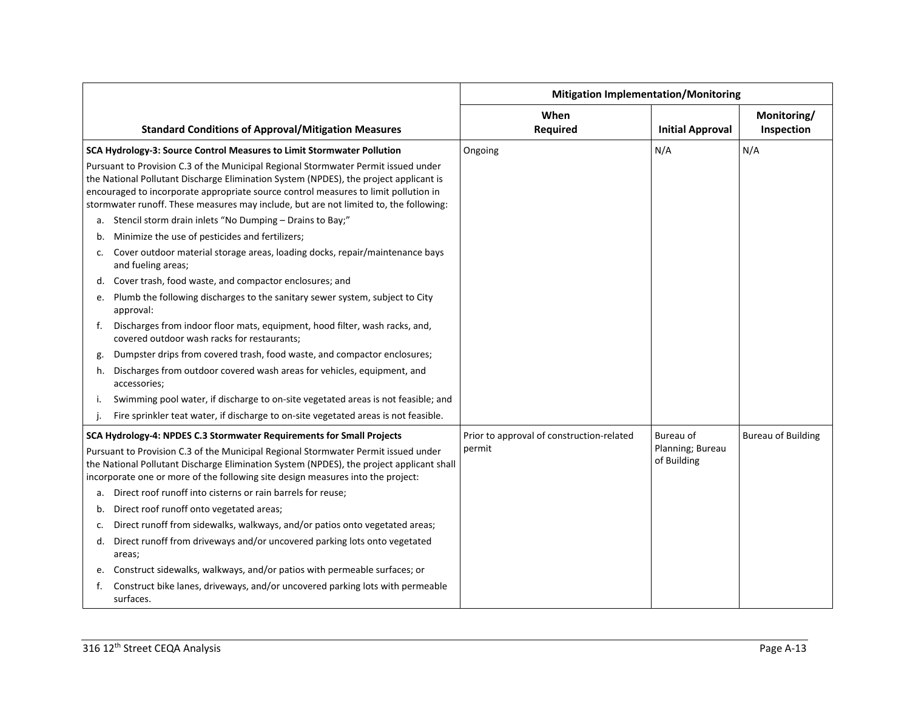|    |                                                                                                                                                                                                                                                                                                                                                             | <b>Mitigation Implementation/Monitoring</b> |                                 |                           |
|----|-------------------------------------------------------------------------------------------------------------------------------------------------------------------------------------------------------------------------------------------------------------------------------------------------------------------------------------------------------------|---------------------------------------------|---------------------------------|---------------------------|
|    | <b>Standard Conditions of Approval/Mitigation Measures</b>                                                                                                                                                                                                                                                                                                  | When<br>Required                            | <b>Initial Approval</b>         | Monitoring/<br>Inspection |
|    | SCA Hydrology-3: Source Control Measures to Limit Stormwater Pollution                                                                                                                                                                                                                                                                                      | Ongoing                                     | N/A                             | N/A                       |
|    | Pursuant to Provision C.3 of the Municipal Regional Stormwater Permit issued under<br>the National Pollutant Discharge Elimination System (NPDES), the project applicant is<br>encouraged to incorporate appropriate source control measures to limit pollution in<br>stormwater runoff. These measures may include, but are not limited to, the following: |                                             |                                 |                           |
| a. | Stencil storm drain inlets "No Dumping - Drains to Bay;"                                                                                                                                                                                                                                                                                                    |                                             |                                 |                           |
| b. | Minimize the use of pesticides and fertilizers;                                                                                                                                                                                                                                                                                                             |                                             |                                 |                           |
| c. | Cover outdoor material storage areas, loading docks, repair/maintenance bays<br>and fueling areas;                                                                                                                                                                                                                                                          |                                             |                                 |                           |
|    | d. Cover trash, food waste, and compactor enclosures; and                                                                                                                                                                                                                                                                                                   |                                             |                                 |                           |
| e. | Plumb the following discharges to the sanitary sewer system, subject to City<br>approval:                                                                                                                                                                                                                                                                   |                                             |                                 |                           |
| f. | Discharges from indoor floor mats, equipment, hood filter, wash racks, and,<br>covered outdoor wash racks for restaurants;                                                                                                                                                                                                                                  |                                             |                                 |                           |
| g. | Dumpster drips from covered trash, food waste, and compactor enclosures;                                                                                                                                                                                                                                                                                    |                                             |                                 |                           |
| h. | Discharges from outdoor covered wash areas for vehicles, equipment, and<br>accessories;                                                                                                                                                                                                                                                                     |                                             |                                 |                           |
|    | Swimming pool water, if discharge to on-site vegetated areas is not feasible; and                                                                                                                                                                                                                                                                           |                                             |                                 |                           |
| j. | Fire sprinkler teat water, if discharge to on-site vegetated areas is not feasible.                                                                                                                                                                                                                                                                         |                                             |                                 |                           |
|    | SCA Hydrology-4: NPDES C.3 Stormwater Requirements for Small Projects                                                                                                                                                                                                                                                                                       | Prior to approval of construction-related   | Bureau of                       | <b>Bureau of Building</b> |
|    | Pursuant to Provision C.3 of the Municipal Regional Stormwater Permit issued under<br>the National Pollutant Discharge Elimination System (NPDES), the project applicant shall<br>incorporate one or more of the following site design measures into the project:                                                                                           | permit                                      | Planning; Bureau<br>of Building |                           |
| а. | Direct roof runoff into cisterns or rain barrels for reuse;                                                                                                                                                                                                                                                                                                 |                                             |                                 |                           |
| b. | Direct roof runoff onto vegetated areas;                                                                                                                                                                                                                                                                                                                    |                                             |                                 |                           |
| c. | Direct runoff from sidewalks, walkways, and/or patios onto vegetated areas;                                                                                                                                                                                                                                                                                 |                                             |                                 |                           |
| d. | Direct runoff from driveways and/or uncovered parking lots onto vegetated<br>areas;                                                                                                                                                                                                                                                                         |                                             |                                 |                           |
| e. | Construct sidewalks, walkways, and/or patios with permeable surfaces; or                                                                                                                                                                                                                                                                                    |                                             |                                 |                           |
| f. | Construct bike lanes, driveways, and/or uncovered parking lots with permeable<br>surfaces.                                                                                                                                                                                                                                                                  |                                             |                                 |                           |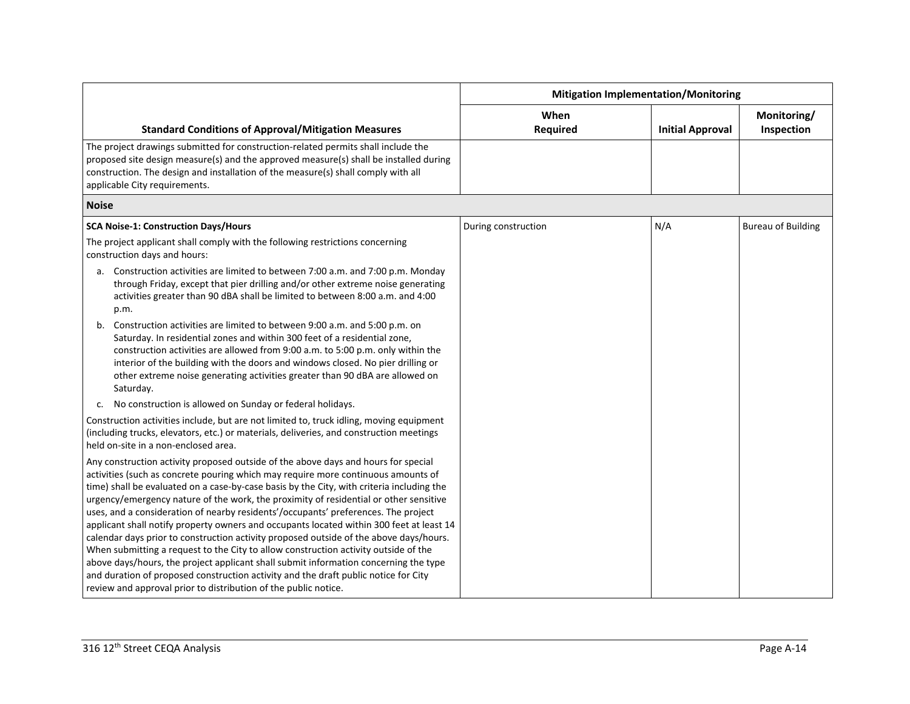|                                                                                                                                                                                                                                                                                                                                                                                                                                                                                                                                                                                                                                                                                                                                                                                                                                                                                                                                                                                    | <b>Mitigation Implementation/Monitoring</b> |                         |                           |
|------------------------------------------------------------------------------------------------------------------------------------------------------------------------------------------------------------------------------------------------------------------------------------------------------------------------------------------------------------------------------------------------------------------------------------------------------------------------------------------------------------------------------------------------------------------------------------------------------------------------------------------------------------------------------------------------------------------------------------------------------------------------------------------------------------------------------------------------------------------------------------------------------------------------------------------------------------------------------------|---------------------------------------------|-------------------------|---------------------------|
| <b>Standard Conditions of Approval/Mitigation Measures</b>                                                                                                                                                                                                                                                                                                                                                                                                                                                                                                                                                                                                                                                                                                                                                                                                                                                                                                                         | When<br><b>Required</b>                     | <b>Initial Approval</b> | Monitoring/<br>Inspection |
| The project drawings submitted for construction-related permits shall include the<br>proposed site design measure(s) and the approved measure(s) shall be installed during<br>construction. The design and installation of the measure(s) shall comply with all<br>applicable City requirements.                                                                                                                                                                                                                                                                                                                                                                                                                                                                                                                                                                                                                                                                                   |                                             |                         |                           |
| <b>Noise</b>                                                                                                                                                                                                                                                                                                                                                                                                                                                                                                                                                                                                                                                                                                                                                                                                                                                                                                                                                                       |                                             |                         |                           |
| <b>SCA Noise-1: Construction Days/Hours</b>                                                                                                                                                                                                                                                                                                                                                                                                                                                                                                                                                                                                                                                                                                                                                                                                                                                                                                                                        | During construction                         | N/A                     | <b>Bureau of Building</b> |
| The project applicant shall comply with the following restrictions concerning<br>construction days and hours:                                                                                                                                                                                                                                                                                                                                                                                                                                                                                                                                                                                                                                                                                                                                                                                                                                                                      |                                             |                         |                           |
| a. Construction activities are limited to between 7:00 a.m. and 7:00 p.m. Monday<br>through Friday, except that pier drilling and/or other extreme noise generating<br>activities greater than 90 dBA shall be limited to between 8:00 a.m. and 4:00<br>p.m.                                                                                                                                                                                                                                                                                                                                                                                                                                                                                                                                                                                                                                                                                                                       |                                             |                         |                           |
| b. Construction activities are limited to between 9:00 a.m. and 5:00 p.m. on<br>Saturday. In residential zones and within 300 feet of a residential zone,<br>construction activities are allowed from 9:00 a.m. to 5:00 p.m. only within the<br>interior of the building with the doors and windows closed. No pier drilling or<br>other extreme noise generating activities greater than 90 dBA are allowed on<br>Saturday.                                                                                                                                                                                                                                                                                                                                                                                                                                                                                                                                                       |                                             |                         |                           |
| No construction is allowed on Sunday or federal holidays.<br>C.                                                                                                                                                                                                                                                                                                                                                                                                                                                                                                                                                                                                                                                                                                                                                                                                                                                                                                                    |                                             |                         |                           |
| Construction activities include, but are not limited to, truck idling, moving equipment<br>(including trucks, elevators, etc.) or materials, deliveries, and construction meetings<br>held on-site in a non-enclosed area.                                                                                                                                                                                                                                                                                                                                                                                                                                                                                                                                                                                                                                                                                                                                                         |                                             |                         |                           |
| Any construction activity proposed outside of the above days and hours for special<br>activities (such as concrete pouring which may require more continuous amounts of<br>time) shall be evaluated on a case-by-case basis by the City, with criteria including the<br>urgency/emergency nature of the work, the proximity of residential or other sensitive<br>uses, and a consideration of nearby residents'/occupants' preferences. The project<br>applicant shall notify property owners and occupants located within 300 feet at least 14<br>calendar days prior to construction activity proposed outside of the above days/hours.<br>When submitting a request to the City to allow construction activity outside of the<br>above days/hours, the project applicant shall submit information concerning the type<br>and duration of proposed construction activity and the draft public notice for City<br>review and approval prior to distribution of the public notice. |                                             |                         |                           |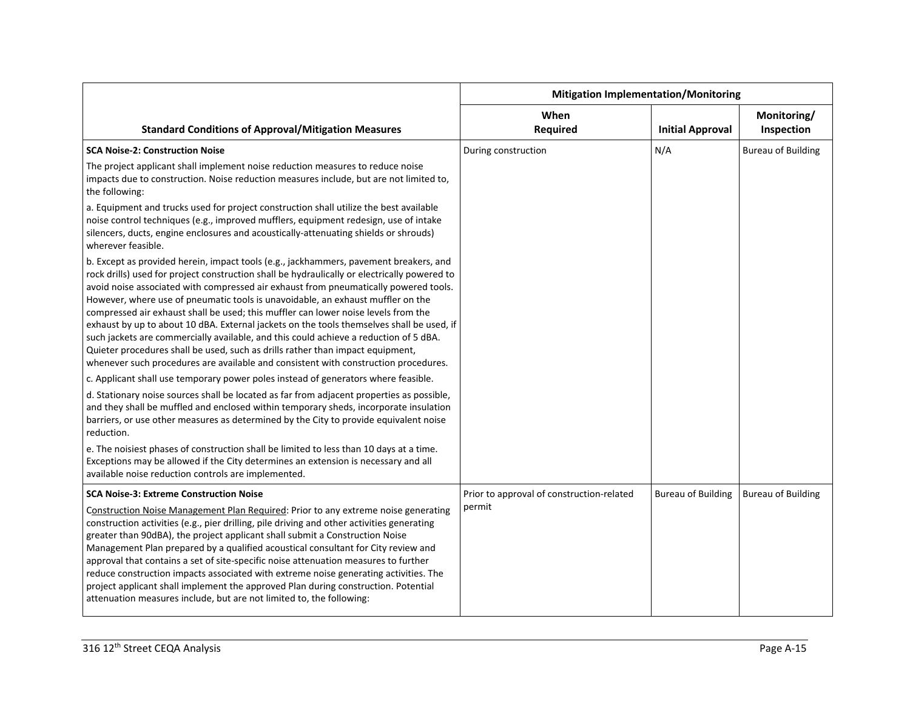|                                                                                                                                                                                                                                                                                                                                                                                                                                                                                                                                                                                                                                                                                                                                                                                                                       | <b>Mitigation Implementation/Monitoring</b> |                           |                           |
|-----------------------------------------------------------------------------------------------------------------------------------------------------------------------------------------------------------------------------------------------------------------------------------------------------------------------------------------------------------------------------------------------------------------------------------------------------------------------------------------------------------------------------------------------------------------------------------------------------------------------------------------------------------------------------------------------------------------------------------------------------------------------------------------------------------------------|---------------------------------------------|---------------------------|---------------------------|
| <b>Standard Conditions of Approval/Mitigation Measures</b>                                                                                                                                                                                                                                                                                                                                                                                                                                                                                                                                                                                                                                                                                                                                                            | When<br><b>Required</b>                     | <b>Initial Approval</b>   | Monitoring/<br>Inspection |
| <b>SCA Noise-2: Construction Noise</b>                                                                                                                                                                                                                                                                                                                                                                                                                                                                                                                                                                                                                                                                                                                                                                                | During construction                         | N/A                       | <b>Bureau of Building</b> |
| The project applicant shall implement noise reduction measures to reduce noise<br>impacts due to construction. Noise reduction measures include, but are not limited to,<br>the following:                                                                                                                                                                                                                                                                                                                                                                                                                                                                                                                                                                                                                            |                                             |                           |                           |
| a. Equipment and trucks used for project construction shall utilize the best available<br>noise control techniques (e.g., improved mufflers, equipment redesign, use of intake<br>silencers, ducts, engine enclosures and acoustically-attenuating shields or shrouds)<br>wherever feasible.                                                                                                                                                                                                                                                                                                                                                                                                                                                                                                                          |                                             |                           |                           |
| b. Except as provided herein, impact tools (e.g., jackhammers, pavement breakers, and<br>rock drills) used for project construction shall be hydraulically or electrically powered to<br>avoid noise associated with compressed air exhaust from pneumatically powered tools.<br>However, where use of pneumatic tools is unavoidable, an exhaust muffler on the<br>compressed air exhaust shall be used; this muffler can lower noise levels from the<br>exhaust by up to about 10 dBA. External jackets on the tools themselves shall be used, if<br>such jackets are commercially available, and this could achieve a reduction of 5 dBA.<br>Quieter procedures shall be used, such as drills rather than impact equipment,<br>whenever such procedures are available and consistent with construction procedures. |                                             |                           |                           |
| c. Applicant shall use temporary power poles instead of generators where feasible.                                                                                                                                                                                                                                                                                                                                                                                                                                                                                                                                                                                                                                                                                                                                    |                                             |                           |                           |
| d. Stationary noise sources shall be located as far from adjacent properties as possible,<br>and they shall be muffled and enclosed within temporary sheds, incorporate insulation<br>barriers, or use other measures as determined by the City to provide equivalent noise<br>reduction.                                                                                                                                                                                                                                                                                                                                                                                                                                                                                                                             |                                             |                           |                           |
| e. The noisiest phases of construction shall be limited to less than 10 days at a time.<br>Exceptions may be allowed if the City determines an extension is necessary and all<br>available noise reduction controls are implemented.                                                                                                                                                                                                                                                                                                                                                                                                                                                                                                                                                                                  |                                             |                           |                           |
| <b>SCA Noise-3: Extreme Construction Noise</b>                                                                                                                                                                                                                                                                                                                                                                                                                                                                                                                                                                                                                                                                                                                                                                        | Prior to approval of construction-related   | <b>Bureau of Building</b> | <b>Bureau of Building</b> |
| Construction Noise Management Plan Required: Prior to any extreme noise generating<br>construction activities (e.g., pier drilling, pile driving and other activities generating<br>greater than 90dBA), the project applicant shall submit a Construction Noise<br>Management Plan prepared by a qualified acoustical consultant for City review and<br>approval that contains a set of site-specific noise attenuation measures to further<br>reduce construction impacts associated with extreme noise generating activities. The<br>project applicant shall implement the approved Plan during construction. Potential<br>attenuation measures include, but are not limited to, the following:                                                                                                                    | permit                                      |                           |                           |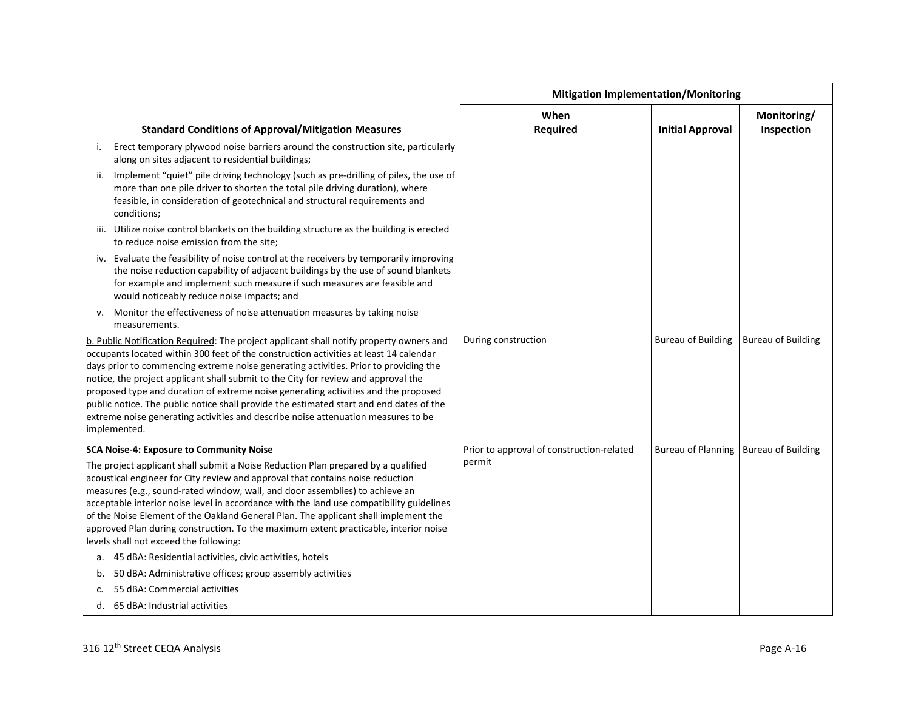|                                                                                                                                                                                                                                                                                                                                                                                                                                                                                                                                                                                                                                                      |                                                                                                                                                                                                                                                                                                        | <b>Mitigation Implementation/Monitoring</b> |                           |                           |
|------------------------------------------------------------------------------------------------------------------------------------------------------------------------------------------------------------------------------------------------------------------------------------------------------------------------------------------------------------------------------------------------------------------------------------------------------------------------------------------------------------------------------------------------------------------------------------------------------------------------------------------------------|--------------------------------------------------------------------------------------------------------------------------------------------------------------------------------------------------------------------------------------------------------------------------------------------------------|---------------------------------------------|---------------------------|---------------------------|
|                                                                                                                                                                                                                                                                                                                                                                                                                                                                                                                                                                                                                                                      | <b>Standard Conditions of Approval/Mitigation Measures</b>                                                                                                                                                                                                                                             | When<br><b>Required</b>                     | <b>Initial Approval</b>   | Monitoring/<br>Inspection |
| i.                                                                                                                                                                                                                                                                                                                                                                                                                                                                                                                                                                                                                                                   | Erect temporary plywood noise barriers around the construction site, particularly<br>along on sites adjacent to residential buildings;                                                                                                                                                                 |                                             |                           |                           |
|                                                                                                                                                                                                                                                                                                                                                                                                                                                                                                                                                                                                                                                      | Implement "quiet" pile driving technology (such as pre-drilling of piles, the use of<br>more than one pile driver to shorten the total pile driving duration), where<br>feasible, in consideration of geotechnical and structural requirements and<br>conditions;                                      |                                             |                           |                           |
|                                                                                                                                                                                                                                                                                                                                                                                                                                                                                                                                                                                                                                                      | iii. Utilize noise control blankets on the building structure as the building is erected<br>to reduce noise emission from the site;                                                                                                                                                                    |                                             |                           |                           |
|                                                                                                                                                                                                                                                                                                                                                                                                                                                                                                                                                                                                                                                      | iv. Evaluate the feasibility of noise control at the receivers by temporarily improving<br>the noise reduction capability of adjacent buildings by the use of sound blankets<br>for example and implement such measure if such measures are feasible and<br>would noticeably reduce noise impacts; and |                                             |                           |                           |
| v.                                                                                                                                                                                                                                                                                                                                                                                                                                                                                                                                                                                                                                                   | Monitor the effectiveness of noise attenuation measures by taking noise<br>measurements.                                                                                                                                                                                                               |                                             |                           |                           |
| b. Public Notification Required: The project applicant shall notify property owners and<br>occupants located within 300 feet of the construction activities at least 14 calendar<br>days prior to commencing extreme noise generating activities. Prior to providing the<br>notice, the project applicant shall submit to the City for review and approval the<br>proposed type and duration of extreme noise generating activities and the proposed<br>public notice. The public notice shall provide the estimated start and end dates of the<br>extreme noise generating activities and describe noise attenuation measures to be<br>implemented. |                                                                                                                                                                                                                                                                                                        | During construction                         | <b>Bureau of Building</b> | <b>Bureau of Building</b> |
|                                                                                                                                                                                                                                                                                                                                                                                                                                                                                                                                                                                                                                                      | SCA Noise-4: Exposure to Community Noise                                                                                                                                                                                                                                                               | Prior to approval of construction-related   | <b>Bureau of Planning</b> | <b>Bureau of Building</b> |
| The project applicant shall submit a Noise Reduction Plan prepared by a qualified<br>acoustical engineer for City review and approval that contains noise reduction<br>measures (e.g., sound-rated window, wall, and door assemblies) to achieve an<br>acceptable interior noise level in accordance with the land use compatibility guidelines<br>of the Noise Element of the Oakland General Plan. The applicant shall implement the<br>approved Plan during construction. To the maximum extent practicable, interior noise<br>levels shall not exceed the following:                                                                             |                                                                                                                                                                                                                                                                                                        | permit                                      |                           |                           |
|                                                                                                                                                                                                                                                                                                                                                                                                                                                                                                                                                                                                                                                      | a. 45 dBA: Residential activities, civic activities, hotels                                                                                                                                                                                                                                            |                                             |                           |                           |
| b.                                                                                                                                                                                                                                                                                                                                                                                                                                                                                                                                                                                                                                                   | 50 dBA: Administrative offices; group assembly activities                                                                                                                                                                                                                                              |                                             |                           |                           |
|                                                                                                                                                                                                                                                                                                                                                                                                                                                                                                                                                                                                                                                      | 55 dBA: Commercial activities                                                                                                                                                                                                                                                                          |                                             |                           |                           |
|                                                                                                                                                                                                                                                                                                                                                                                                                                                                                                                                                                                                                                                      | d. 65 dBA: Industrial activities                                                                                                                                                                                                                                                                       |                                             |                           |                           |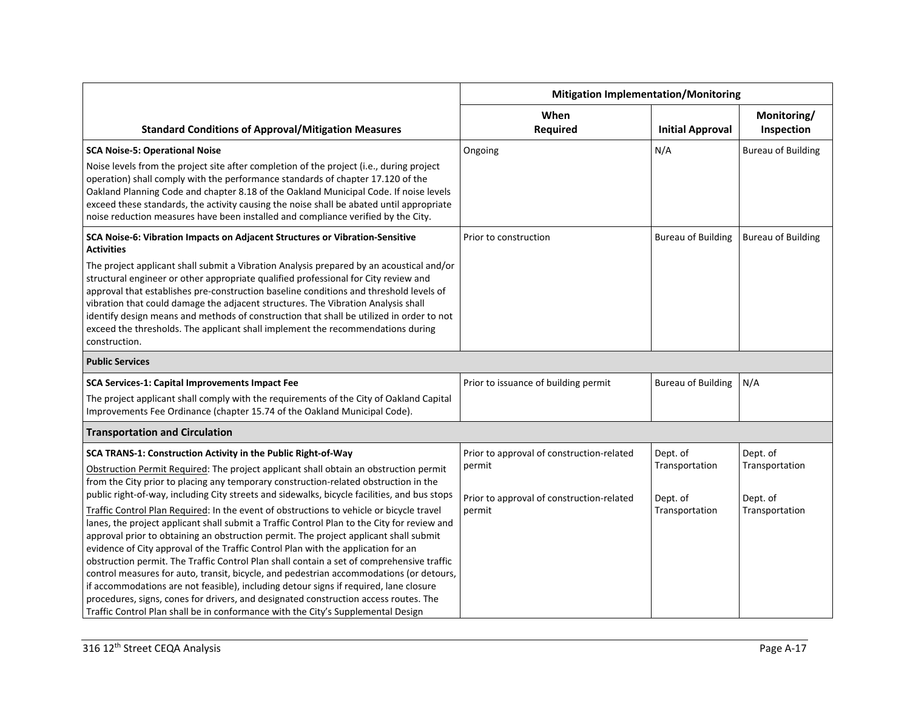|                                                                                                                                                                                                                                                                                                                                                                                                                                                                                                                                                                                                                                                                                                                                                                                                                                    | <b>Mitigation Implementation/Monitoring</b>         |                            |                            |
|------------------------------------------------------------------------------------------------------------------------------------------------------------------------------------------------------------------------------------------------------------------------------------------------------------------------------------------------------------------------------------------------------------------------------------------------------------------------------------------------------------------------------------------------------------------------------------------------------------------------------------------------------------------------------------------------------------------------------------------------------------------------------------------------------------------------------------|-----------------------------------------------------|----------------------------|----------------------------|
| <b>Standard Conditions of Approval/Mitigation Measures</b>                                                                                                                                                                                                                                                                                                                                                                                                                                                                                                                                                                                                                                                                                                                                                                         | When<br><b>Required</b>                             | <b>Initial Approval</b>    | Monitoring/<br>Inspection  |
| <b>SCA Noise-5: Operational Noise</b>                                                                                                                                                                                                                                                                                                                                                                                                                                                                                                                                                                                                                                                                                                                                                                                              | Ongoing                                             | N/A                        | <b>Bureau of Building</b>  |
| Noise levels from the project site after completion of the project (i.e., during project<br>operation) shall comply with the performance standards of chapter 17.120 of the<br>Oakland Planning Code and chapter 8.18 of the Oakland Municipal Code. If noise levels<br>exceed these standards, the activity causing the noise shall be abated until appropriate<br>noise reduction measures have been installed and compliance verified by the City.                                                                                                                                                                                                                                                                                                                                                                              |                                                     |                            |                            |
| SCA Noise-6: Vibration Impacts on Adjacent Structures or Vibration-Sensitive<br><b>Activities</b>                                                                                                                                                                                                                                                                                                                                                                                                                                                                                                                                                                                                                                                                                                                                  | Prior to construction                               | <b>Bureau of Building</b>  | <b>Bureau of Building</b>  |
| The project applicant shall submit a Vibration Analysis prepared by an acoustical and/or<br>structural engineer or other appropriate qualified professional for City review and<br>approval that establishes pre-construction baseline conditions and threshold levels of<br>vibration that could damage the adjacent structures. The Vibration Analysis shall<br>identify design means and methods of construction that shall be utilized in order to not<br>exceed the thresholds. The applicant shall implement the recommendations during<br>construction.                                                                                                                                                                                                                                                                     |                                                     |                            |                            |
| <b>Public Services</b>                                                                                                                                                                                                                                                                                                                                                                                                                                                                                                                                                                                                                                                                                                                                                                                                             |                                                     |                            |                            |
| SCA Services-1: Capital Improvements Impact Fee                                                                                                                                                                                                                                                                                                                                                                                                                                                                                                                                                                                                                                                                                                                                                                                    | Prior to issuance of building permit                | <b>Bureau of Building</b>  | N/A                        |
| The project applicant shall comply with the requirements of the City of Oakland Capital<br>Improvements Fee Ordinance (chapter 15.74 of the Oakland Municipal Code).                                                                                                                                                                                                                                                                                                                                                                                                                                                                                                                                                                                                                                                               |                                                     |                            |                            |
| <b>Transportation and Circulation</b>                                                                                                                                                                                                                                                                                                                                                                                                                                                                                                                                                                                                                                                                                                                                                                                              |                                                     |                            |                            |
| SCA TRANS-1: Construction Activity in the Public Right-of-Way                                                                                                                                                                                                                                                                                                                                                                                                                                                                                                                                                                                                                                                                                                                                                                      | Prior to approval of construction-related           | Dept. of                   | Dept. of                   |
| Obstruction Permit Required: The project applicant shall obtain an obstruction permit<br>from the City prior to placing any temporary construction-related obstruction in the<br>public right-of-way, including City streets and sidewalks, bicycle facilities, and bus stops                                                                                                                                                                                                                                                                                                                                                                                                                                                                                                                                                      | permit<br>Prior to approval of construction-related | Transportation<br>Dept. of | Transportation<br>Dept. of |
| Traffic Control Plan Required: In the event of obstructions to vehicle or bicycle travel<br>lanes, the project applicant shall submit a Traffic Control Plan to the City for review and<br>approval prior to obtaining an obstruction permit. The project applicant shall submit<br>evidence of City approval of the Traffic Control Plan with the application for an<br>obstruction permit. The Traffic Control Plan shall contain a set of comprehensive traffic<br>control measures for auto, transit, bicycle, and pedestrian accommodations (or detours,<br>if accommodations are not feasible), including detour signs if required, lane closure<br>procedures, signs, cones for drivers, and designated construction access routes. The<br>Traffic Control Plan shall be in conformance with the City's Supplemental Design | permit                                              | Transportation             | Transportation             |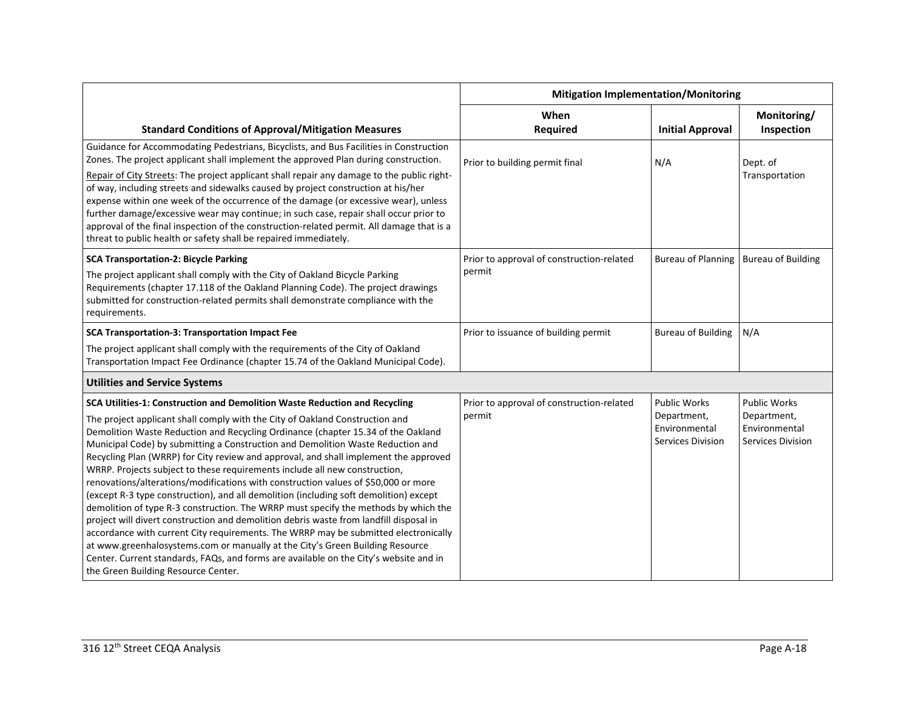|                                                                                                                                                                                                                                                                                                                                                                                                                                                                                                                                                                                                                                                                                                                                                                                                                                                                                                                                                                                                                                                                                                   | <b>Mitigation Implementation/Monitoring</b> |                                                   |                                                   |
|---------------------------------------------------------------------------------------------------------------------------------------------------------------------------------------------------------------------------------------------------------------------------------------------------------------------------------------------------------------------------------------------------------------------------------------------------------------------------------------------------------------------------------------------------------------------------------------------------------------------------------------------------------------------------------------------------------------------------------------------------------------------------------------------------------------------------------------------------------------------------------------------------------------------------------------------------------------------------------------------------------------------------------------------------------------------------------------------------|---------------------------------------------|---------------------------------------------------|---------------------------------------------------|
|                                                                                                                                                                                                                                                                                                                                                                                                                                                                                                                                                                                                                                                                                                                                                                                                                                                                                                                                                                                                                                                                                                   | When                                        |                                                   | Monitoring/                                       |
| <b>Standard Conditions of Approval/Mitigation Measures</b>                                                                                                                                                                                                                                                                                                                                                                                                                                                                                                                                                                                                                                                                                                                                                                                                                                                                                                                                                                                                                                        | <b>Required</b>                             | <b>Initial Approval</b>                           | Inspection                                        |
| Guidance for Accommodating Pedestrians, Bicyclists, and Bus Facilities in Construction<br>Zones. The project applicant shall implement the approved Plan during construction.                                                                                                                                                                                                                                                                                                                                                                                                                                                                                                                                                                                                                                                                                                                                                                                                                                                                                                                     | Prior to building permit final              | N/A                                               | Dept. of                                          |
| Repair of City Streets: The project applicant shall repair any damage to the public right-<br>of way, including streets and sidewalks caused by project construction at his/her<br>expense within one week of the occurrence of the damage (or excessive wear), unless<br>further damage/excessive wear may continue; in such case, repair shall occur prior to<br>approval of the final inspection of the construction-related permit. All damage that is a<br>threat to public health or safety shall be repaired immediately.                                                                                                                                                                                                                                                                                                                                                                                                                                                                                                                                                                  |                                             |                                                   | Transportation                                    |
| <b>SCA Transportation-2: Bicycle Parking</b>                                                                                                                                                                                                                                                                                                                                                                                                                                                                                                                                                                                                                                                                                                                                                                                                                                                                                                                                                                                                                                                      | Prior to approval of construction-related   | <b>Bureau of Planning</b>                         | <b>Bureau of Building</b>                         |
| The project applicant shall comply with the City of Oakland Bicycle Parking<br>Requirements (chapter 17.118 of the Oakland Planning Code). The project drawings<br>submitted for construction-related permits shall demonstrate compliance with the<br>requirements.                                                                                                                                                                                                                                                                                                                                                                                                                                                                                                                                                                                                                                                                                                                                                                                                                              | permit                                      |                                                   |                                                   |
| SCA Transportation-3: Transportation Impact Fee                                                                                                                                                                                                                                                                                                                                                                                                                                                                                                                                                                                                                                                                                                                                                                                                                                                                                                                                                                                                                                                   | Prior to issuance of building permit        | <b>Bureau of Building</b>                         | N/A                                               |
| The project applicant shall comply with the requirements of the City of Oakland<br>Transportation Impact Fee Ordinance (chapter 15.74 of the Oakland Municipal Code).                                                                                                                                                                                                                                                                                                                                                                                                                                                                                                                                                                                                                                                                                                                                                                                                                                                                                                                             |                                             |                                                   |                                                   |
| <b>Utilities and Service Systems</b>                                                                                                                                                                                                                                                                                                                                                                                                                                                                                                                                                                                                                                                                                                                                                                                                                                                                                                                                                                                                                                                              |                                             |                                                   |                                                   |
| SCA Utilities-1: Construction and Demolition Waste Reduction and Recycling                                                                                                                                                                                                                                                                                                                                                                                                                                                                                                                                                                                                                                                                                                                                                                                                                                                                                                                                                                                                                        | Prior to approval of construction-related   | <b>Public Works</b>                               | <b>Public Works</b>                               |
| The project applicant shall comply with the City of Oakland Construction and<br>Demolition Waste Reduction and Recycling Ordinance (chapter 15.34 of the Oakland<br>Municipal Code) by submitting a Construction and Demolition Waste Reduction and<br>Recycling Plan (WRRP) for City review and approval, and shall implement the approved<br>WRRP. Projects subject to these requirements include all new construction,<br>renovations/alterations/modifications with construction values of \$50,000 or more<br>(except R-3 type construction), and all demolition (including soft demolition) except<br>demolition of type R-3 construction. The WRRP must specify the methods by which the<br>project will divert construction and demolition debris waste from landfill disposal in<br>accordance with current City requirements. The WRRP may be submitted electronically<br>at www.greenhalosystems.com or manually at the City's Green Building Resource<br>Center. Current standards, FAQs, and forms are available on the City's website and in<br>the Green Building Resource Center. | permit                                      | Department,<br>Environmental<br>Services Division | Department,<br>Environmental<br>Services Division |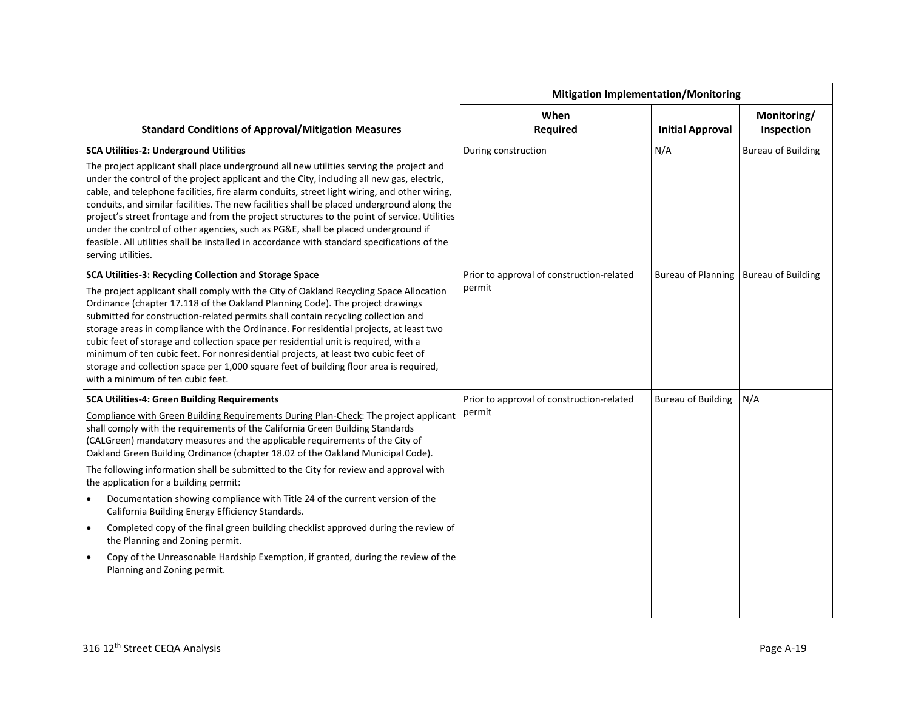|                                                                                                                                                                                                                                                                                                                                                                                                                                                                                                                                                                                                                                                                                               | <b>Mitigation Implementation/Monitoring</b> |                                         |                           |
|-----------------------------------------------------------------------------------------------------------------------------------------------------------------------------------------------------------------------------------------------------------------------------------------------------------------------------------------------------------------------------------------------------------------------------------------------------------------------------------------------------------------------------------------------------------------------------------------------------------------------------------------------------------------------------------------------|---------------------------------------------|-----------------------------------------|---------------------------|
| <b>Standard Conditions of Approval/Mitigation Measures</b>                                                                                                                                                                                                                                                                                                                                                                                                                                                                                                                                                                                                                                    | When<br><b>Required</b>                     | <b>Initial Approval</b>                 | Monitoring/<br>Inspection |
| <b>SCA Utilities-2: Underground Utilities</b>                                                                                                                                                                                                                                                                                                                                                                                                                                                                                                                                                                                                                                                 | During construction                         | N/A                                     | <b>Bureau of Building</b> |
| The project applicant shall place underground all new utilities serving the project and<br>under the control of the project applicant and the City, including all new gas, electric,<br>cable, and telephone facilities, fire alarm conduits, street light wiring, and other wiring,<br>conduits, and similar facilities. The new facilities shall be placed underground along the<br>project's street frontage and from the project structures to the point of service. Utilities<br>under the control of other agencies, such as PG&E, shall be placed underground if<br>feasible. All utilities shall be installed in accordance with standard specifications of the<br>serving utilities. |                                             |                                         |                           |
| SCA Utilities-3: Recycling Collection and Storage Space                                                                                                                                                                                                                                                                                                                                                                                                                                                                                                                                                                                                                                       | Prior to approval of construction-related   | Bureau of Planning   Bureau of Building |                           |
| The project applicant shall comply with the City of Oakland Recycling Space Allocation<br>Ordinance (chapter 17.118 of the Oakland Planning Code). The project drawings<br>submitted for construction-related permits shall contain recycling collection and<br>storage areas in compliance with the Ordinance. For residential projects, at least two<br>cubic feet of storage and collection space per residential unit is required, with a<br>minimum of ten cubic feet. For nonresidential projects, at least two cubic feet of<br>storage and collection space per 1,000 square feet of building floor area is required,<br>with a minimum of ten cubic feet.                            | permit                                      |                                         |                           |
| <b>SCA Utilities-4: Green Building Requirements</b>                                                                                                                                                                                                                                                                                                                                                                                                                                                                                                                                                                                                                                           | Prior to approval of construction-related   | <b>Bureau of Building</b>               | N/A                       |
| Compliance with Green Building Requirements During Plan-Check: The project applicant<br>shall comply with the requirements of the California Green Building Standards<br>(CALGreen) mandatory measures and the applicable requirements of the City of<br>Oakland Green Building Ordinance (chapter 18.02 of the Oakland Municipal Code).<br>The following information shall be submitted to the City for review and approval with<br>the application for a building permit:                                                                                                                                                                                                                   | permit                                      |                                         |                           |
| Documentation showing compliance with Title 24 of the current version of the<br>California Building Energy Efficiency Standards.                                                                                                                                                                                                                                                                                                                                                                                                                                                                                                                                                              |                                             |                                         |                           |
| Completed copy of the final green building checklist approved during the review of<br>$\bullet$<br>the Planning and Zoning permit.                                                                                                                                                                                                                                                                                                                                                                                                                                                                                                                                                            |                                             |                                         |                           |
| Copy of the Unreasonable Hardship Exemption, if granted, during the review of the<br>Planning and Zoning permit.                                                                                                                                                                                                                                                                                                                                                                                                                                                                                                                                                                              |                                             |                                         |                           |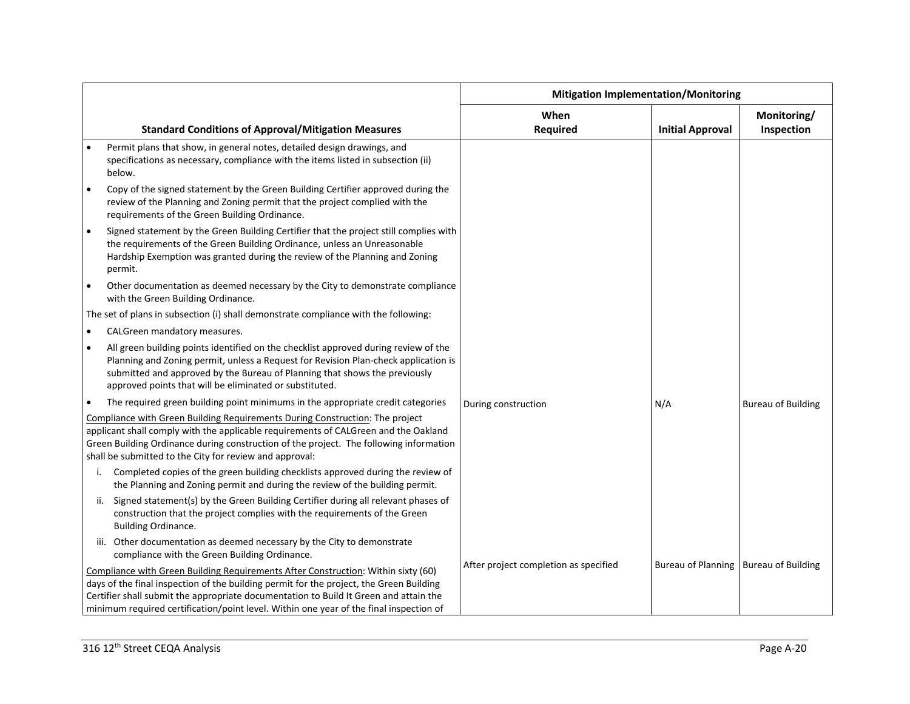|           |                                                                                                                                                                                                                                                                                                                                                                 | <b>Mitigation Implementation/Monitoring</b> |                                         |                           |
|-----------|-----------------------------------------------------------------------------------------------------------------------------------------------------------------------------------------------------------------------------------------------------------------------------------------------------------------------------------------------------------------|---------------------------------------------|-----------------------------------------|---------------------------|
|           | <b>Standard Conditions of Approval/Mitigation Measures</b>                                                                                                                                                                                                                                                                                                      | When<br><b>Required</b>                     | <b>Initial Approval</b>                 | Monitoring/<br>Inspection |
|           | Permit plans that show, in general notes, detailed design drawings, and<br>specifications as necessary, compliance with the items listed in subsection (ii)<br>below.                                                                                                                                                                                           |                                             |                                         |                           |
| $\bullet$ | Copy of the signed statement by the Green Building Certifier approved during the<br>review of the Planning and Zoning permit that the project complied with the<br>requirements of the Green Building Ordinance.                                                                                                                                                |                                             |                                         |                           |
| $\bullet$ | Signed statement by the Green Building Certifier that the project still complies with<br>the requirements of the Green Building Ordinance, unless an Unreasonable<br>Hardship Exemption was granted during the review of the Planning and Zoning<br>permit.                                                                                                     |                                             |                                         |                           |
| $\bullet$ | Other documentation as deemed necessary by the City to demonstrate compliance<br>with the Green Building Ordinance.                                                                                                                                                                                                                                             |                                             |                                         |                           |
|           | The set of plans in subsection (i) shall demonstrate compliance with the following:                                                                                                                                                                                                                                                                             |                                             |                                         |                           |
| $\bullet$ | CALGreen mandatory measures.                                                                                                                                                                                                                                                                                                                                    |                                             |                                         |                           |
| $\bullet$ | All green building points identified on the checklist approved during review of the<br>Planning and Zoning permit, unless a Request for Revision Plan-check application is<br>submitted and approved by the Bureau of Planning that shows the previously<br>approved points that will be eliminated or substituted.                                             |                                             |                                         |                           |
|           | The required green building point minimums in the appropriate credit categories                                                                                                                                                                                                                                                                                 | During construction                         | N/A                                     | <b>Bureau of Building</b> |
|           | Compliance with Green Building Requirements During Construction: The project<br>applicant shall comply with the applicable requirements of CALGreen and the Oakland<br>Green Building Ordinance during construction of the project. The following information<br>shall be submitted to the City for review and approval:                                        |                                             |                                         |                           |
|           | Completed copies of the green building checklists approved during the review of<br>i.<br>the Planning and Zoning permit and during the review of the building permit.                                                                                                                                                                                           |                                             |                                         |                           |
|           | ii. Signed statement(s) by the Green Building Certifier during all relevant phases of<br>construction that the project complies with the requirements of the Green<br><b>Building Ordinance.</b>                                                                                                                                                                |                                             |                                         |                           |
|           | iii. Other documentation as deemed necessary by the City to demonstrate<br>compliance with the Green Building Ordinance.                                                                                                                                                                                                                                        |                                             |                                         |                           |
|           | Compliance with Green Building Requirements After Construction: Within sixty (60)<br>days of the final inspection of the building permit for the project, the Green Building<br>Certifier shall submit the appropriate documentation to Build It Green and attain the<br>minimum required certification/point level. Within one year of the final inspection of | After project completion as specified       | Bureau of Planning   Bureau of Building |                           |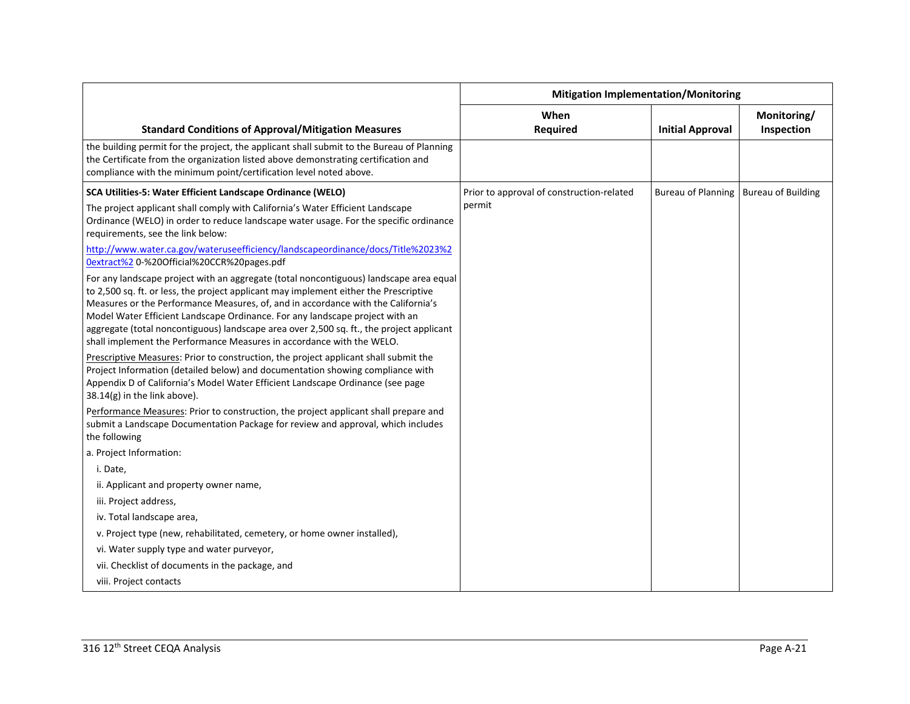|                                                                                                                                                                                                                                                                                                                                                                                                                                                                                                                           | <b>Mitigation Implementation/Monitoring</b> |                           |                           |
|---------------------------------------------------------------------------------------------------------------------------------------------------------------------------------------------------------------------------------------------------------------------------------------------------------------------------------------------------------------------------------------------------------------------------------------------------------------------------------------------------------------------------|---------------------------------------------|---------------------------|---------------------------|
| <b>Standard Conditions of Approval/Mitigation Measures</b>                                                                                                                                                                                                                                                                                                                                                                                                                                                                | When<br><b>Required</b>                     | <b>Initial Approval</b>   | Monitoring/<br>Inspection |
| the building permit for the project, the applicant shall submit to the Bureau of Planning<br>the Certificate from the organization listed above demonstrating certification and<br>compliance with the minimum point/certification level noted above.                                                                                                                                                                                                                                                                     |                                             |                           |                           |
| SCA Utilities-5: Water Efficient Landscape Ordinance (WELO)                                                                                                                                                                                                                                                                                                                                                                                                                                                               | Prior to approval of construction-related   | <b>Bureau of Planning</b> | <b>Bureau of Building</b> |
| The project applicant shall comply with California's Water Efficient Landscape<br>Ordinance (WELO) in order to reduce landscape water usage. For the specific ordinance<br>requirements, see the link below:                                                                                                                                                                                                                                                                                                              | permit                                      |                           |                           |
| http://www.water.ca.gov/wateruseefficiency/landscapeordinance/docs/Title%2023%2<br>0extract%2 0-%20Official%20CCR%20pages.pdf                                                                                                                                                                                                                                                                                                                                                                                             |                                             |                           |                           |
| For any landscape project with an aggregate (total noncontiguous) landscape area equal<br>to 2,500 sq. ft. or less, the project applicant may implement either the Prescriptive<br>Measures or the Performance Measures, of, and in accordance with the California's<br>Model Water Efficient Landscape Ordinance. For any landscape project with an<br>aggregate (total noncontiguous) landscape area over 2,500 sq. ft., the project applicant<br>shall implement the Performance Measures in accordance with the WELO. |                                             |                           |                           |
| Prescriptive Measures: Prior to construction, the project applicant shall submit the<br>Project Information (detailed below) and documentation showing compliance with<br>Appendix D of California's Model Water Efficient Landscape Ordinance (see page<br>$38.14(g)$ in the link above).                                                                                                                                                                                                                                |                                             |                           |                           |
| Performance Measures: Prior to construction, the project applicant shall prepare and<br>submit a Landscape Documentation Package for review and approval, which includes<br>the following                                                                                                                                                                                                                                                                                                                                 |                                             |                           |                           |
| a. Project Information:                                                                                                                                                                                                                                                                                                                                                                                                                                                                                                   |                                             |                           |                           |
| i. Date,                                                                                                                                                                                                                                                                                                                                                                                                                                                                                                                  |                                             |                           |                           |
| ii. Applicant and property owner name,                                                                                                                                                                                                                                                                                                                                                                                                                                                                                    |                                             |                           |                           |
| iii. Project address,                                                                                                                                                                                                                                                                                                                                                                                                                                                                                                     |                                             |                           |                           |
| iv. Total landscape area,                                                                                                                                                                                                                                                                                                                                                                                                                                                                                                 |                                             |                           |                           |
| v. Project type (new, rehabilitated, cemetery, or home owner installed),                                                                                                                                                                                                                                                                                                                                                                                                                                                  |                                             |                           |                           |
| vi. Water supply type and water purveyor,                                                                                                                                                                                                                                                                                                                                                                                                                                                                                 |                                             |                           |                           |
| vii. Checklist of documents in the package, and                                                                                                                                                                                                                                                                                                                                                                                                                                                                           |                                             |                           |                           |
| viii. Project contacts                                                                                                                                                                                                                                                                                                                                                                                                                                                                                                    |                                             |                           |                           |